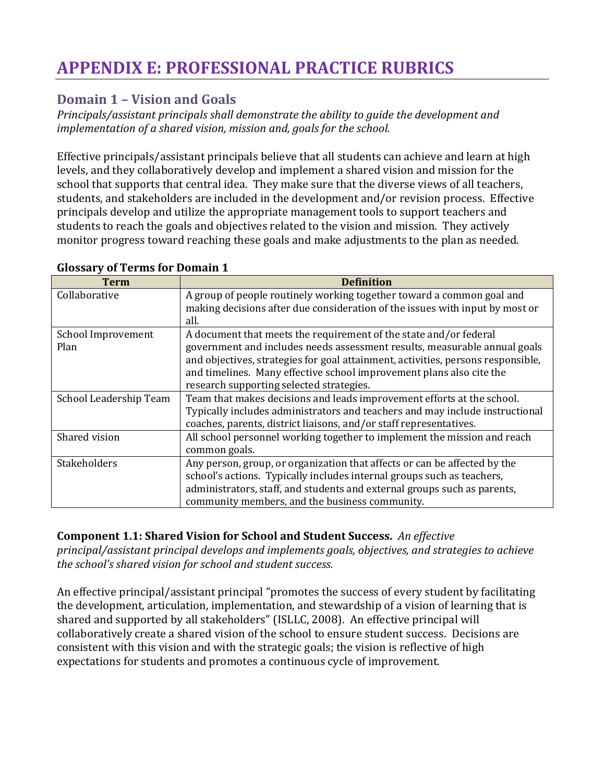# **APPENDIX E: PROFESSIONAL PRACTICE RUBRICS**

# **Domain 1 – Vision and Goals**

*Principals/assistant principals shall demonstrate the ability to guide the development and implementation of a shared vision, mission and, goals for the school.* 

Effective principals/assistant principals believe that all students can achieve and learn at high levels, and they collaboratively develop and implement a shared vision and mission for the school that supports that central idea. They make sure that the diverse views of all teachers, students, and stakeholders are included in the development and/or revision process. Effective principals develop and utilize the appropriate management tools to support teachers and students to reach the goals and objectives related to the vision and mission. They actively monitor progress toward reaching these goals and make adjustments to the plan as needed.

| Term                   | <b>Definition</b>                                                                |
|------------------------|----------------------------------------------------------------------------------|
| Collaborative          | A group of people routinely working together toward a common goal and            |
|                        | making decisions after due consideration of the issues with input by most or     |
|                        | all.                                                                             |
| School Improvement     | A document that meets the requirement of the state and/or federal                |
| Plan                   | government and includes needs assessment results, measurable annual goals        |
|                        | and objectives, strategies for goal attainment, activities, persons responsible, |
|                        | and timelines. Many effective school improvement plans also cite the             |
|                        | research supporting selected strategies.                                         |
| School Leadership Team | Team that makes decisions and leads improvement efforts at the school.           |
|                        | Typically includes administrators and teachers and may include instructional     |
|                        | coaches, parents, district liaisons, and/or staff representatives.               |
| Shared vision          | All school personnel working together to implement the mission and reach         |
|                        | common goals.                                                                    |
| Stakeholders           | Any person, group, or organization that affects or can be affected by the        |
|                        | school's actions. Typically includes internal groups such as teachers,           |
|                        | administrators, staff, and students and external groups such as parents,         |
|                        | community members, and the business community.                                   |

#### **Glossary of Terms for Domain 1**

## **Component 1.1: Shared Vision for School and Student Success.** *An effective*

*principal/assistant principal develops and implements goals, objectives, and strategies to achieve the school's shared vision for school and student success.*

An effective principal/assistant principal "promotes the success of every student by facilitating the development, articulation, implementation, and stewardship of a vision of learning that is shared and supported by all stakeholders" (ISLLC, 2008). An effective principal will collaboratively create a shared vision of the school to ensure student success. Decisions are consistent with this vision and with the strategic goals; the vision is reflective of high expectations for students and promotes a continuous cycle of improvement.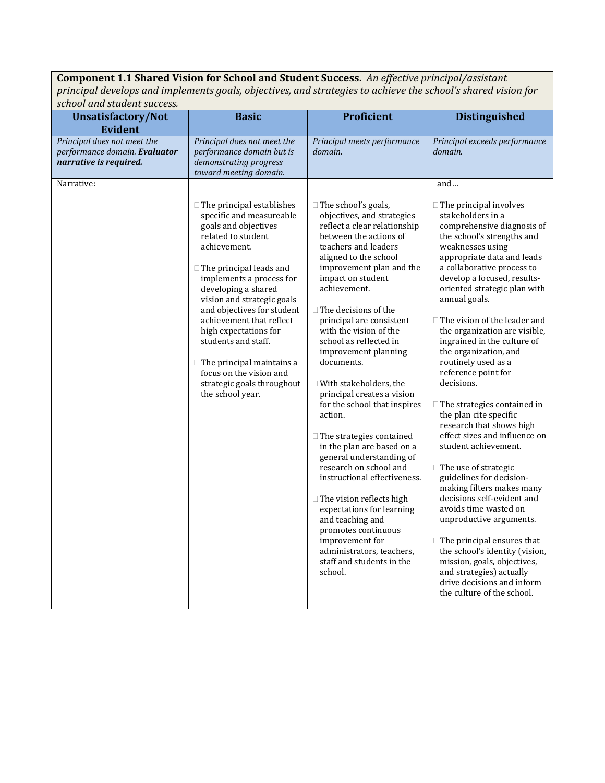**Component 1.1 Shared Vision for School and Student Success.** *An effective principal/assistant principal develops and implements goals, objectives, and strategies to achieve the school's shared vision for school and student success.*

| school and student success.                                                                              |                                                                                                                                                                                                                                                                                                                                                                                                                                                                          |                                                                                                                                                                                                                                                                                                                                                                                                                                                                                                                                                                                                                                                                                                                                                |                                                                                                                                                                                                                                                                                                                                                                                                                                                                                                                                                                                                                                                                                                                                                                                                                  |
|----------------------------------------------------------------------------------------------------------|--------------------------------------------------------------------------------------------------------------------------------------------------------------------------------------------------------------------------------------------------------------------------------------------------------------------------------------------------------------------------------------------------------------------------------------------------------------------------|------------------------------------------------------------------------------------------------------------------------------------------------------------------------------------------------------------------------------------------------------------------------------------------------------------------------------------------------------------------------------------------------------------------------------------------------------------------------------------------------------------------------------------------------------------------------------------------------------------------------------------------------------------------------------------------------------------------------------------------------|------------------------------------------------------------------------------------------------------------------------------------------------------------------------------------------------------------------------------------------------------------------------------------------------------------------------------------------------------------------------------------------------------------------------------------------------------------------------------------------------------------------------------------------------------------------------------------------------------------------------------------------------------------------------------------------------------------------------------------------------------------------------------------------------------------------|
| <b>Unsatisfactory/Not</b>                                                                                | <b>Basic</b>                                                                                                                                                                                                                                                                                                                                                                                                                                                             | <b>Proficient</b>                                                                                                                                                                                                                                                                                                                                                                                                                                                                                                                                                                                                                                                                                                                              | <b>Distinguished</b>                                                                                                                                                                                                                                                                                                                                                                                                                                                                                                                                                                                                                                                                                                                                                                                             |
| <b>Evident</b><br>Principal does not meet the<br>performance domain. Evaluator<br>narrative is required. | Principal does not meet the<br>performance domain but is<br>demonstrating progress<br>toward meeting domain.                                                                                                                                                                                                                                                                                                                                                             | Principal meets performance<br>domain.                                                                                                                                                                                                                                                                                                                                                                                                                                                                                                                                                                                                                                                                                                         | Principal exceeds performance<br>domain.                                                                                                                                                                                                                                                                                                                                                                                                                                                                                                                                                                                                                                                                                                                                                                         |
| Narrative:                                                                                               | $\Box$ The principal establishes<br>specific and measureable<br>goals and objectives<br>related to student<br>achievement.<br>$\Box$ The principal leads and<br>implements a process for<br>developing a shared<br>vision and strategic goals<br>and objectives for student<br>achievement that reflect<br>high expectations for<br>students and staff.<br>$\Box$ The principal maintains a<br>focus on the vision and<br>strategic goals throughout<br>the school year. | $\Box$ The school's goals,<br>objectives, and strategies<br>reflect a clear relationship<br>between the actions of<br>teachers and leaders<br>aligned to the school<br>improvement plan and the<br>impact on student<br>achievement.<br>$\Box$ The decisions of the<br>principal are consistent<br>with the vision of the<br>school as reflected in<br>improvement planning<br>documents.<br>$\Box$ With stakeholders, the<br>principal creates a vision<br>for the school that inspires<br>action.<br>$\Box$ The strategies contained<br>in the plan are based on a<br>general understanding of<br>research on school and<br>instructional effectiveness.<br>$\Box$ The vision reflects high<br>expectations for learning<br>and teaching and | and<br>$\Box$ The principal involves<br>stakeholders in a<br>comprehensive diagnosis of<br>the school's strengths and<br>weaknesses using<br>appropriate data and leads<br>a collaborative process to<br>develop a focused, results-<br>oriented strategic plan with<br>annual goals.<br>$\Box$ The vision of the leader and<br>the organization are visible,<br>ingrained in the culture of<br>the organization, and<br>routinely used as a<br>reference point for<br>decisions.<br>$\Box$ The strategies contained in<br>the plan cite specific<br>research that shows high<br>effect sizes and influence on<br>student achievement.<br>$\Box$ The use of strategic<br>guidelines for decision-<br>making filters makes many<br>decisions self-evident and<br>avoids time wasted on<br>unproductive arguments. |
|                                                                                                          |                                                                                                                                                                                                                                                                                                                                                                                                                                                                          | promotes continuous<br>improvement for<br>administrators, teachers,<br>staff and students in the<br>school.                                                                                                                                                                                                                                                                                                                                                                                                                                                                                                                                                                                                                                    | $\Box$ The principal ensures that<br>the school's identity (vision,<br>mission, goals, objectives,<br>and strategies) actually<br>drive decisions and inform<br>the culture of the school.                                                                                                                                                                                                                                                                                                                                                                                                                                                                                                                                                                                                                       |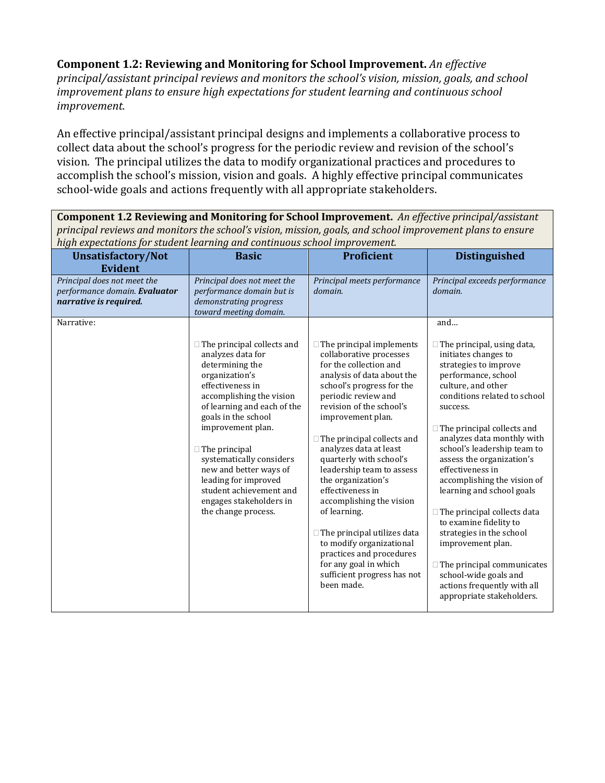**Component 1.2: Reviewing and Monitoring for School Improvement.** *An effective principal/assistant principal reviews and monitors the school's vision, mission, goals, and school improvement plans to ensure high expectations for student learning and continuous school improvement.*

An effective principal/assistant principal designs and implements a collaborative process to collect data about the school's progress for the periodic review and revision of the school's vision. The principal utilizes the data to modify organizational practices and procedures to accomplish the school's mission, vision and goals. A highly effective principal communicates school-wide goals and actions frequently with all appropriate stakeholders.

**Component 1.2 Reviewing and Monitoring for School Improvement.** *An effective principal/assistant principal reviews and monitors the school's vision, mission, goals, and school improvement plans to ensure high expectations for student learning and continuous school improvement.*

| nigh capeculations for student fearming and continuous school improvement.             |                                                                                                                                                                                                                                                                                                                                                                                                           |                                                                                                                                                                                                                                                                                                                                                                                                                                                                                                                                                                                                          |                                                                                                                                                                                                                                                                                                                                                                                                                                                                                                                                                                                                                                       |
|----------------------------------------------------------------------------------------|-----------------------------------------------------------------------------------------------------------------------------------------------------------------------------------------------------------------------------------------------------------------------------------------------------------------------------------------------------------------------------------------------------------|----------------------------------------------------------------------------------------------------------------------------------------------------------------------------------------------------------------------------------------------------------------------------------------------------------------------------------------------------------------------------------------------------------------------------------------------------------------------------------------------------------------------------------------------------------------------------------------------------------|---------------------------------------------------------------------------------------------------------------------------------------------------------------------------------------------------------------------------------------------------------------------------------------------------------------------------------------------------------------------------------------------------------------------------------------------------------------------------------------------------------------------------------------------------------------------------------------------------------------------------------------|
| Unsatisfactory/Not                                                                     | <b>Basic</b>                                                                                                                                                                                                                                                                                                                                                                                              | <b>Proficient</b>                                                                                                                                                                                                                                                                                                                                                                                                                                                                                                                                                                                        | <b>Distinguished</b>                                                                                                                                                                                                                                                                                                                                                                                                                                                                                                                                                                                                                  |
| <b>Evident</b>                                                                         |                                                                                                                                                                                                                                                                                                                                                                                                           |                                                                                                                                                                                                                                                                                                                                                                                                                                                                                                                                                                                                          |                                                                                                                                                                                                                                                                                                                                                                                                                                                                                                                                                                                                                                       |
| Principal does not meet the<br>performance domain. Evaluator<br>narrative is required. | Principal does not meet the<br>performance domain but is<br>demonstrating progress<br>toward meeting domain.                                                                                                                                                                                                                                                                                              | Principal meets performance<br>domain.                                                                                                                                                                                                                                                                                                                                                                                                                                                                                                                                                                   | Principal exceeds performance<br>domain.                                                                                                                                                                                                                                                                                                                                                                                                                                                                                                                                                                                              |
| Narrative:                                                                             |                                                                                                                                                                                                                                                                                                                                                                                                           |                                                                                                                                                                                                                                                                                                                                                                                                                                                                                                                                                                                                          | and                                                                                                                                                                                                                                                                                                                                                                                                                                                                                                                                                                                                                                   |
|                                                                                        | $\Box$ The principal collects and<br>analyzes data for<br>determining the<br>organization's<br>effectiveness in<br>accomplishing the vision<br>of learning and each of the<br>goals in the school<br>improvement plan.<br>$\Box$ The principal<br>systematically considers<br>new and better ways of<br>leading for improved<br>student achievement and<br>engages stakeholders in<br>the change process. | $\Box$ The principal implements<br>collaborative processes<br>for the collection and<br>analysis of data about the<br>school's progress for the<br>periodic review and<br>revision of the school's<br>improvement plan.<br>$\Box$ The principal collects and<br>analyzes data at least<br>quarterly with school's<br>leadership team to assess<br>the organization's<br>effectiveness in<br>accomplishing the vision<br>of learning.<br>$\Box$ The principal utilizes data<br>to modify organizational<br>practices and procedures<br>for any goal in which<br>sufficient progress has not<br>been made. | $\Box$ The principal, using data,<br>initiates changes to<br>strategies to improve<br>performance, school<br>culture, and other<br>conditions related to school<br>success.<br>$\Box$ The principal collects and<br>analyzes data monthly with<br>school's leadership team to<br>assess the organization's<br>effectiveness in<br>accomplishing the vision of<br>learning and school goals<br>$\Box$ The principal collects data<br>to examine fidelity to<br>strategies in the school<br>improvement plan.<br>$\Box$ The principal communicates<br>school-wide goals and<br>actions frequently with all<br>appropriate stakeholders. |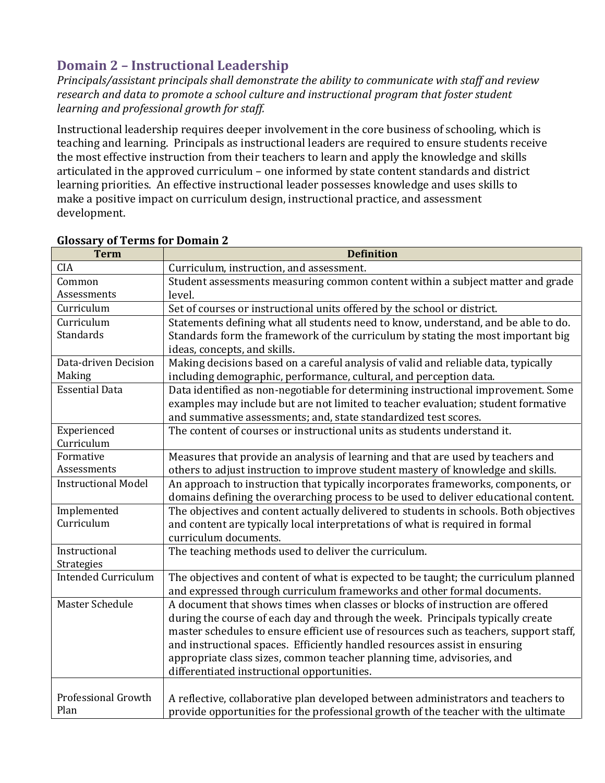# **Domain 2 – Instructional Leadership**

*Principals/assistant principals shall demonstrate the ability to communicate with staff and review research and data to promote a school culture and instructional program that foster student learning and professional growth for staff.*

Instructional leadership requires deeper involvement in the core business of schooling, which is teaching and learning. Principals as instructional leaders are required to ensure students receive the most effective instruction from their teachers to learn and apply the knowledge and skills articulated in the approved curriculum – one informed by state content standards and district learning priorities. An effective instructional leader possesses knowledge and uses skills to make a positive impact on curriculum design, instructional practice, and assessment development.

| <b>Term</b>                | <b>Definition</b>                                                                      |
|----------------------------|----------------------------------------------------------------------------------------|
| <b>CIA</b>                 | Curriculum, instruction, and assessment.                                               |
| Common                     | Student assessments measuring common content within a subject matter and grade         |
| Assessments                | level.                                                                                 |
| Curriculum                 | Set of courses or instructional units offered by the school or district.               |
| Curriculum                 | Statements defining what all students need to know, understand, and be able to do.     |
| Standards                  | Standards form the framework of the curriculum by stating the most important big       |
|                            | ideas, concepts, and skills.                                                           |
| Data-driven Decision       | Making decisions based on a careful analysis of valid and reliable data, typically     |
| Making                     | including demographic, performance, cultural, and perception data.                     |
| <b>Essential Data</b>      | Data identified as non-negotiable for determining instructional improvement. Some      |
|                            | examples may include but are not limited to teacher evaluation; student formative      |
|                            | and summative assessments; and, state standardized test scores.                        |
| Experienced                | The content of courses or instructional units as students understand it.               |
| Curriculum                 |                                                                                        |
| Formative                  | Measures that provide an analysis of learning and that are used by teachers and        |
| Assessments                | others to adjust instruction to improve student mastery of knowledge and skills.       |
| <b>Instructional Model</b> | An approach to instruction that typically incorporates frameworks, components, or      |
|                            | domains defining the overarching process to be used to deliver educational content.    |
| Implemented                | The objectives and content actually delivered to students in schools. Both objectives  |
| Curriculum                 | and content are typically local interpretations of what is required in formal          |
|                            | curriculum documents.                                                                  |
| Instructional              | The teaching methods used to deliver the curriculum.                                   |
| Strategies                 |                                                                                        |
| <b>Intended Curriculum</b> | The objectives and content of what is expected to be taught; the curriculum planned    |
|                            | and expressed through curriculum frameworks and other formal documents.                |
| Master Schedule            | A document that shows times when classes or blocks of instruction are offered          |
|                            | during the course of each day and through the week. Principals typically create        |
|                            | master schedules to ensure efficient use of resources such as teachers, support staff, |
|                            | and instructional spaces. Efficiently handled resources assist in ensuring             |
|                            | appropriate class sizes, common teacher planning time, advisories, and                 |
|                            | differentiated instructional opportunities.                                            |
|                            |                                                                                        |
| Professional Growth        | A reflective, collaborative plan developed between administrators and teachers to      |
| Plan                       | provide opportunities for the professional growth of the teacher with the ultimate     |

#### **Glossary of Terms for Domain 2**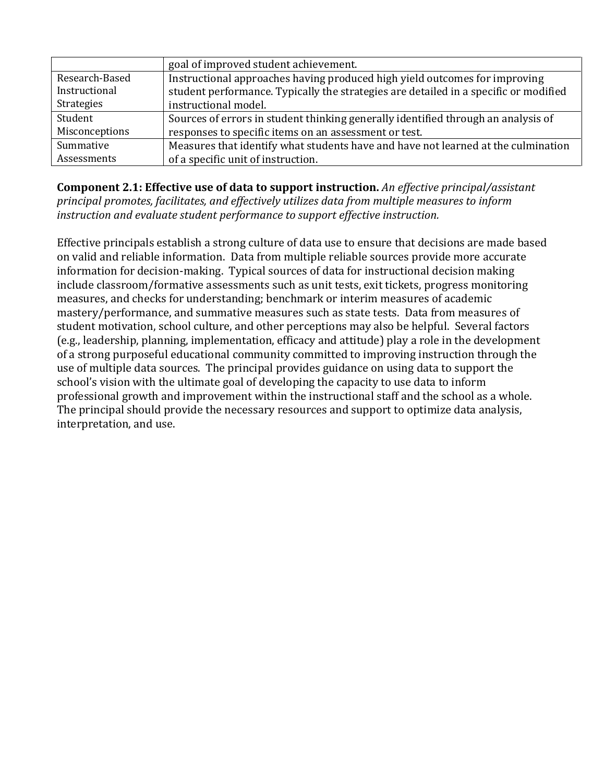|                | goal of improved student achievement.                                                |
|----------------|--------------------------------------------------------------------------------------|
| Research-Based | Instructional approaches having produced high yield outcomes for improving           |
| Instructional  | student performance. Typically the strategies are detailed in a specific or modified |
| Strategies     | instructional model.                                                                 |
| Student        | Sources of errors in student thinking generally identified through an analysis of    |
| Misconceptions | responses to specific items on an assessment or test.                                |
| Summative      | Measures that identify what students have and have not learned at the culmination    |
| Assessments    | of a specific unit of instruction.                                                   |

**Component 2.1: Effective use of data to support instruction.** *An effective principal/assistant principal promotes, facilitates, and effectively utilizes data from multiple measures to inform instruction and evaluate student performance to support effective instruction.*

Effective principals establish a strong culture of data use to ensure that decisions are made based on valid and reliable information. Data from multiple reliable sources provide more accurate information for decision-making. Typical sources of data for instructional decision making include classroom/formative assessments such as unit tests, exit tickets, progress monitoring measures, and checks for understanding; benchmark or interim measures of academic mastery/performance, and summative measures such as state tests. Data from measures of student motivation, school culture, and other perceptions may also be helpful. Several factors (e.g., leadership, planning, implementation, efficacy and attitude) play a role in the development of a strong purposeful educational community committed to improving instruction through the use of multiple data sources. The principal provides guidance on using data to support the school's vision with the ultimate goal of developing the capacity to use data to inform professional growth and improvement within the instructional staff and the school as a whole. The principal should provide the necessary resources and support to optimize data analysis, interpretation, and use.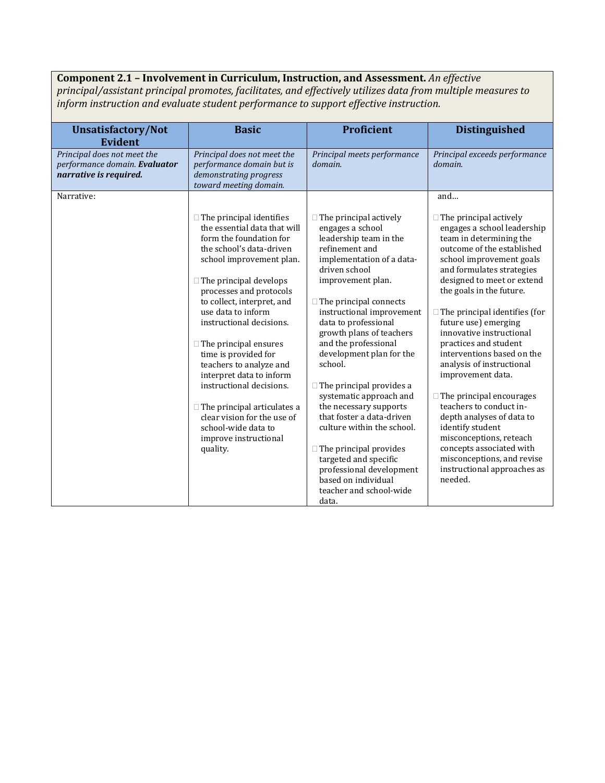## **Component 2.1 – Involvement in Curriculum, Instruction, and Assessment.** *An effective*

*principal/assistant principal promotes, facilitates, and effectively utilizes data from multiple measures to inform instruction and evaluate student performance to support effective instruction.*

| <b>Unsatisfactory/Not</b><br><b>Evident</b>                                            | <b>Basic</b>                                                                                                                                                                                                                                                                                                                                                                                                                                                                                                                                                               | <b>Proficient</b>                                                                                                                                                                                                                                                                                                                                                                                                                                                                                                                                                                                                                            | <b>Distinguished</b>                                                                                                                                                                                                                                                                                                                                                                                                                                                                                                                                                                                                                                                                        |
|----------------------------------------------------------------------------------------|----------------------------------------------------------------------------------------------------------------------------------------------------------------------------------------------------------------------------------------------------------------------------------------------------------------------------------------------------------------------------------------------------------------------------------------------------------------------------------------------------------------------------------------------------------------------------|----------------------------------------------------------------------------------------------------------------------------------------------------------------------------------------------------------------------------------------------------------------------------------------------------------------------------------------------------------------------------------------------------------------------------------------------------------------------------------------------------------------------------------------------------------------------------------------------------------------------------------------------|---------------------------------------------------------------------------------------------------------------------------------------------------------------------------------------------------------------------------------------------------------------------------------------------------------------------------------------------------------------------------------------------------------------------------------------------------------------------------------------------------------------------------------------------------------------------------------------------------------------------------------------------------------------------------------------------|
| Principal does not meet the<br>performance domain. Evaluator<br>narrative is required. | Principal does not meet the<br>performance domain but is<br>demonstrating progress<br>toward meeting domain.                                                                                                                                                                                                                                                                                                                                                                                                                                                               | Principal meets performance<br>domain.                                                                                                                                                                                                                                                                                                                                                                                                                                                                                                                                                                                                       | Principal exceeds performance<br>domain.                                                                                                                                                                                                                                                                                                                                                                                                                                                                                                                                                                                                                                                    |
| Narrative:                                                                             |                                                                                                                                                                                                                                                                                                                                                                                                                                                                                                                                                                            |                                                                                                                                                                                                                                                                                                                                                                                                                                                                                                                                                                                                                                              | and                                                                                                                                                                                                                                                                                                                                                                                                                                                                                                                                                                                                                                                                                         |
|                                                                                        | $\Box$ The principal identifies<br>the essential data that will<br>form the foundation for<br>the school's data-driven<br>school improvement plan.<br>$\Box$ The principal develops<br>processes and protocols<br>to collect, interpret, and<br>use data to inform<br>instructional decisions.<br>$\Box$ The principal ensures<br>time is provided for<br>teachers to analyze and<br>interpret data to inform<br>instructional decisions.<br>$\Box$ The principal articulates a<br>clear vision for the use of<br>school-wide data to<br>improve instructional<br>quality. | $\Box$ The principal actively<br>engages a school<br>leadership team in the<br>refinement and<br>implementation of a data-<br>driven school<br>improvement plan.<br>$\Box$ The principal connects<br>instructional improvement<br>data to professional<br>growth plans of teachers<br>and the professional<br>development plan for the<br>school.<br>$\Box$ The principal provides a<br>systematic approach and<br>the necessary supports<br>that foster a data-driven<br>culture within the school.<br>$\Box$ The principal provides<br>targeted and specific<br>professional development<br>based on individual<br>teacher and school-wide | $\Box$ The principal actively<br>engages a school leadership<br>team in determining the<br>outcome of the established<br>school improvement goals<br>and formulates strategies<br>designed to meet or extend<br>the goals in the future.<br>$\Box$ The principal identifies (for<br>future use) emerging<br>innovative instructional<br>practices and student<br>interventions based on the<br>analysis of instructional<br>improvement data.<br>$\Box$ The principal encourages<br>teachers to conduct in-<br>depth analyses of data to<br>identify student<br>misconceptions, reteach<br>concepts associated with<br>misconceptions, and revise<br>instructional approaches as<br>needed. |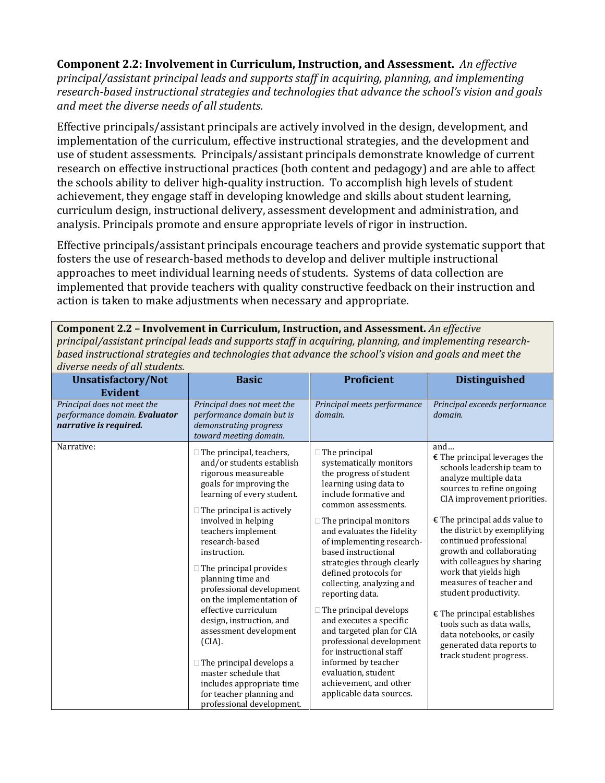**Component 2.2: Involvement in Curriculum, Instruction, and Assessment.** *An effective principal/assistant principal leads and supports staff in acquiring, planning, and implementing research-based instructional strategies and technologies that advance the school's vision and goals and meet the diverse needs of all students.*

Effective principals/assistant principals are actively involved in the design, development, and implementation of the curriculum, effective instructional strategies, and the development and use of student assessments. Principals/assistant principals demonstrate knowledge of current research on effective instructional practices (both content and pedagogy) and are able to affect the schools ability to deliver high-quality instruction. To accomplish high levels of student achievement, they engage staff in developing knowledge and skills about student learning, curriculum design, instructional delivery, assessment development and administration, and analysis. Principals promote and ensure appropriate levels of rigor in instruction.

Effective principals/assistant principals encourage teachers and provide systematic support that fosters the use of research-based methods to develop and deliver multiple instructional approaches to meet individual learning needs of students. Systems of data collection are implemented that provide teachers with quality constructive feedback on their instruction and action is taken to make adjustments when necessary and appropriate.

**Component 2.2 – Involvement in Curriculum, Instruction, and Assessment.** *An effective principal/assistant principal leads and supports staff in acquiring, planning, and implementing researchbased instructional strategies and technologies that advance the school's vision and goals and meet the diverse needs of all students.*

| <b>Unsatisfactory/Not</b>                                                              | <b>Basic</b>                                                                                                                                                                                                                                                                                                                                                                                                                                                                                                                                                                                                               | Proficient                                                                                                                                                                                                                                                                                                                                                                                                                                                                                                                                                                                                                         | <b>Distinguished</b>                                                                                                                                                                                                                                                                                                                                                                                                                                                                                                                                           |
|----------------------------------------------------------------------------------------|----------------------------------------------------------------------------------------------------------------------------------------------------------------------------------------------------------------------------------------------------------------------------------------------------------------------------------------------------------------------------------------------------------------------------------------------------------------------------------------------------------------------------------------------------------------------------------------------------------------------------|------------------------------------------------------------------------------------------------------------------------------------------------------------------------------------------------------------------------------------------------------------------------------------------------------------------------------------------------------------------------------------------------------------------------------------------------------------------------------------------------------------------------------------------------------------------------------------------------------------------------------------|----------------------------------------------------------------------------------------------------------------------------------------------------------------------------------------------------------------------------------------------------------------------------------------------------------------------------------------------------------------------------------------------------------------------------------------------------------------------------------------------------------------------------------------------------------------|
| <b>Evident</b>                                                                         |                                                                                                                                                                                                                                                                                                                                                                                                                                                                                                                                                                                                                            |                                                                                                                                                                                                                                                                                                                                                                                                                                                                                                                                                                                                                                    |                                                                                                                                                                                                                                                                                                                                                                                                                                                                                                                                                                |
| Principal does not meet the<br>performance domain. Evaluator<br>narrative is required. | Principal does not meet the<br>performance domain but is<br>demonstrating progress<br>toward meeting domain.                                                                                                                                                                                                                                                                                                                                                                                                                                                                                                               | Principal meets performance<br>domain.                                                                                                                                                                                                                                                                                                                                                                                                                                                                                                                                                                                             | Principal exceeds performance<br>domain.                                                                                                                                                                                                                                                                                                                                                                                                                                                                                                                       |
| Narrative:                                                                             | $\Box$ The principal, teachers,<br>and/or students establish<br>rigorous measureable<br>goals for improving the<br>learning of every student.<br>$\Box$ The principal is actively<br>involved in helping<br>teachers implement<br>research-based<br>instruction.<br>$\Box$ The principal provides<br>planning time and<br>professional development<br>on the implementation of<br>effective curriculum<br>design, instruction, and<br>assessment development<br>$(CIA)$ .<br>$\Box$ The principal develops a<br>master schedule that<br>includes appropriate time<br>for teacher planning and<br>professional development. | $\Box$ The principal<br>systematically monitors<br>the progress of student<br>learning using data to<br>include formative and<br>common assessments.<br>$\Box$ The principal monitors<br>and evaluates the fidelity<br>of implementing research-<br>based instructional<br>strategies through clearly<br>defined protocols for<br>collecting, analyzing and<br>reporting data.<br>$\Box$ The principal develops<br>and executes a specific<br>and targeted plan for CIA<br>professional development<br>for instructional staff<br>informed by teacher<br>evaluation, student<br>achievement, and other<br>applicable data sources. | and<br>$\epsilon$ The principal leverages the<br>schools leadership team to<br>analyze multiple data<br>sources to refine ongoing<br>CIA improvement priorities.<br>$\epsilon$ The principal adds value to<br>the district by exemplifying<br>continued professional<br>growth and collaborating<br>with colleagues by sharing<br>work that yields high<br>measures of teacher and<br>student productivity.<br>$E$ The principal establishes<br>tools such as data walls.<br>data notebooks, or easily<br>generated data reports to<br>track student progress. |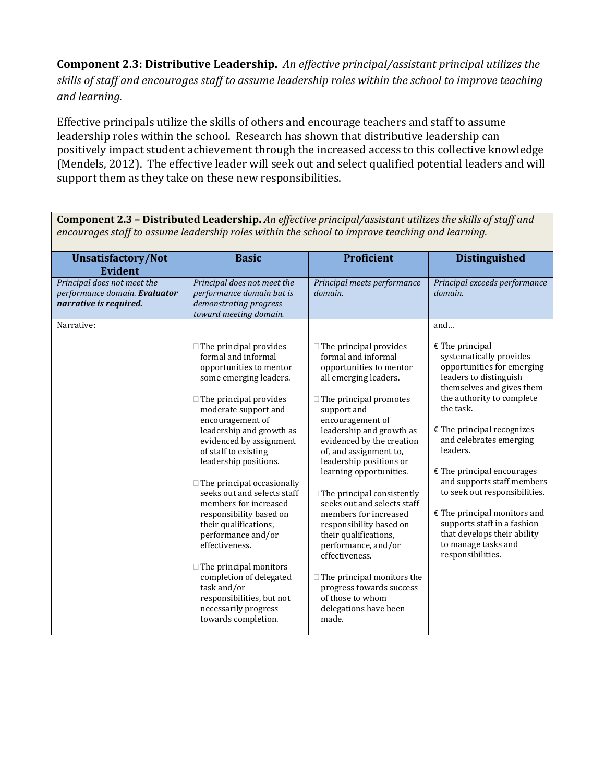**Component 2.3: Distributive Leadership.** *An effective principal/assistant principal utilizes the skills of staff and encourages staff to assume leadership roles within the school to improve teaching and learning.* 

Effective principals utilize the skills of others and encourage teachers and staff to assume leadership roles within the school. Research has shown that distributive leadership can positively impact student achievement through the increased access to this collective knowledge (Mendels, 2012). The effective leader will seek out and select qualified potential leaders and will support them as they take on these new responsibilities.

**Unsatisfactory/Not Evident Basic Proficient Distinguished** *Principal does not meet the performance domain. Evaluator narrative is required. Principal does not meet the performance domain but is demonstrating progress toward meeting domain. Principal meets performance domain. Principal exceeds performance domain.* Narrative:  $\Box$  The principal provides formal and informal opportunities to mentor some emerging leaders.  $\Box$  The principal provides moderate support and encouragement of leadership and growth as evidenced by assignment of staff to existing leadership positions.  $\Box$  The principal occasionally seeks out and selects staff members for increased responsibility based on their qualifications, performance and/or effectiveness.  $\Box$  The principal monitors completion of delegated task and/or responsibilities, but not necessarily progress towards completion.  $\Box$  The principal provides formal and informal opportunities to mentor all emerging leaders.  $\Box$  The principal promotes support and encouragement of leadership and growth as evidenced by the creation of, and assignment to, leadership positions or learning opportunities.  $\Box$  The principal consistently seeks out and selects staff members for increased responsibility based on their qualifications, performance, and/or effectiveness.  $\Box$  The principal monitors the progress towards success of those to whom delegations have been made. and…  $E$  The principal systematically provides opportunities for emerging leaders to distinguish themselves and gives them the authority to complete the task. € The principal recognizes and celebrates emerging leaders. € The principal encourages and supports staff members to seek out responsibilities. € The principal monitors and supports staff in a fashion that develops their ability to manage tasks and responsibilities.

**Component 2.3 – Distributed Leadership.** *An effective principal/assistant utilizes the skills of staff and encourages staff to assume leadership roles within the school to improve teaching and learning.*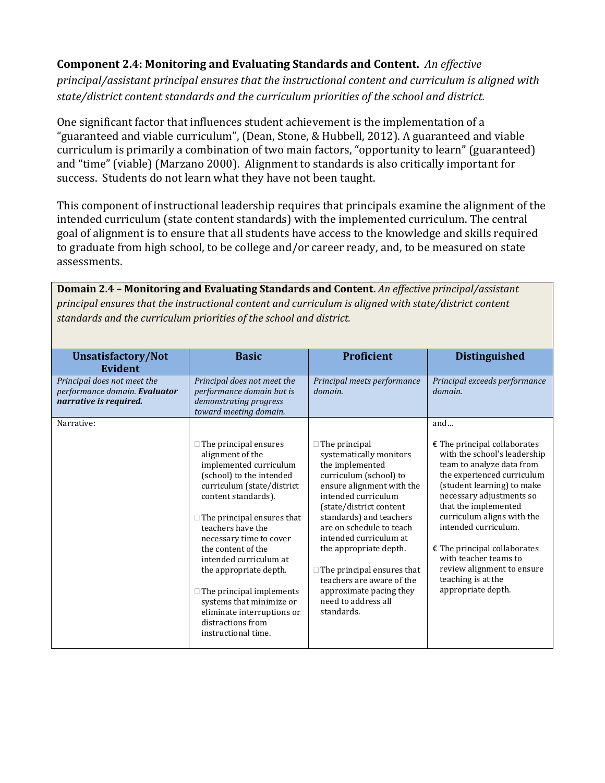## **Component 2.4: Monitoring and Evaluating Standards and Content.** *An effective principal/assistant principal ensures that the instructional content and curriculum is aligned with state/district content standards and the curriculum priorities of the school and district.*

One significant factor that influences student achievement is the implementation of a "guaranteed and viable curriculum", (Dean, Stone, & Hubbell, 2012). A guaranteed and viable curriculum is primarily a combination of two main factors, "opportunity to learn" (guaranteed) and "time" (viable) (Marzano 2000). Alignment to standards is also critically important for success. Students do not learn what they have not been taught.

This component of instructional leadership requires that principals examine the alignment of the intended curriculum (state content standards) with the implemented curriculum. The central goal of alignment is to ensure that all students have access to the knowledge and skills required to graduate from high school, to be college and/or career ready, and, to be measured on state assessments.

**Domain 2.4 – Monitoring and Evaluating Standards and Content.** *An effective principal/assistant principal ensures that the instructional content and curriculum is aligned with state/district content standards and the curriculum priorities of the school and district.*

| <b>Unsatisfactory/Not</b><br>Evident                                                   | <b>Basic</b>                                                                                                                                                                                                                                                                                                                                                                                                                                                        | Proficient                                                                                                                                                                                                                                                                                                                                                                                                               | <b>Distinguished</b>                                                                                                                                                                                                                                                                                                                                                                                                 |
|----------------------------------------------------------------------------------------|---------------------------------------------------------------------------------------------------------------------------------------------------------------------------------------------------------------------------------------------------------------------------------------------------------------------------------------------------------------------------------------------------------------------------------------------------------------------|--------------------------------------------------------------------------------------------------------------------------------------------------------------------------------------------------------------------------------------------------------------------------------------------------------------------------------------------------------------------------------------------------------------------------|----------------------------------------------------------------------------------------------------------------------------------------------------------------------------------------------------------------------------------------------------------------------------------------------------------------------------------------------------------------------------------------------------------------------|
| Principal does not meet the<br>performance domain. Evaluator<br>narrative is required. | Principal does not meet the<br>performance domain but is<br>demonstrating progress<br>toward meeting domain.                                                                                                                                                                                                                                                                                                                                                        | Principal meets performance<br>domain.                                                                                                                                                                                                                                                                                                                                                                                   | Principal exceeds performance<br>domain.                                                                                                                                                                                                                                                                                                                                                                             |
| Narrative:                                                                             | $\Box$ The principal ensures<br>alignment of the<br>implemented curriculum<br>(school) to the intended<br>curriculum (state/district<br>content standards).<br>$\Box$ The principal ensures that<br>teachers have the<br>necessary time to cover<br>the content of the<br>intended curriculum at<br>the appropriate depth.<br>$\Box$ The principal implements<br>systems that minimize or<br>eliminate interruptions or<br>distractions from<br>instructional time. | $\Box$ The principal<br>systematically monitors<br>the implemented<br>curriculum (school) to<br>ensure alignment with the<br>intended curriculum<br>(state/district content<br>standards) and teachers<br>are on schedule to teach<br>intended curriculum at<br>the appropriate depth.<br>$\Box$ The principal ensures that<br>teachers are aware of the<br>approximate pacing they<br>need to address all<br>standards. | and<br>$\epsilon$ The principal collaborates<br>with the school's leadership<br>team to analyze data from<br>the experienced curriculum<br>(student learning) to make<br>necessary adjustments so<br>that the implemented<br>curriculum aligns with the<br>intended curriculum.<br>$E$ The principal collaborates<br>with teacher teams to<br>review alignment to ensure<br>teaching is at the<br>appropriate depth. |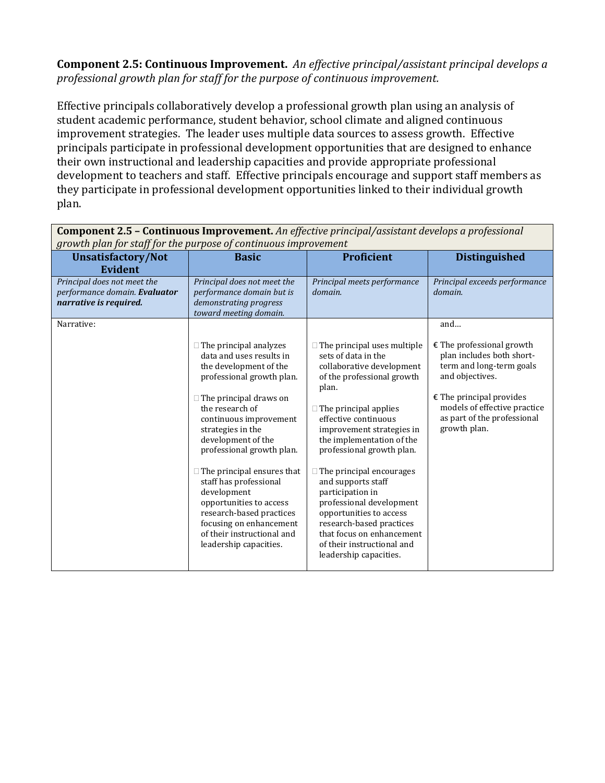**Component 2.5: Continuous Improvement.** *An effective principal/assistant principal develops a professional growth plan for staff for the purpose of continuous improvement.*

Effective principals collaboratively develop a professional growth plan using an analysis of student academic performance, student behavior, school climate and aligned continuous improvement strategies. The leader uses multiple data sources to assess growth. Effective principals participate in professional development opportunities that are designed to enhance their own instructional and leadership capacities and provide appropriate professional development to teachers and staff. Effective principals encourage and support staff members as they participate in professional development opportunities linked to their individual growth plan.

| growth plan for staff for the purpose of continuous improvement<br><b>Unsatisfactory/Not</b> | <b>Basic</b>                                                                                                                                                                                                                                                                                                                                                                                                                                                                                   | <b>Proficient</b>                                                                                                                                                                                                                                                                                                                                                                                                                                                                                                                 | <b>Distinguished</b>                                                                                                                                                                                                        |
|----------------------------------------------------------------------------------------------|------------------------------------------------------------------------------------------------------------------------------------------------------------------------------------------------------------------------------------------------------------------------------------------------------------------------------------------------------------------------------------------------------------------------------------------------------------------------------------------------|-----------------------------------------------------------------------------------------------------------------------------------------------------------------------------------------------------------------------------------------------------------------------------------------------------------------------------------------------------------------------------------------------------------------------------------------------------------------------------------------------------------------------------------|-----------------------------------------------------------------------------------------------------------------------------------------------------------------------------------------------------------------------------|
| Evident                                                                                      |                                                                                                                                                                                                                                                                                                                                                                                                                                                                                                |                                                                                                                                                                                                                                                                                                                                                                                                                                                                                                                                   |                                                                                                                                                                                                                             |
| Principal does not meet the<br>performance domain. Evaluator<br>narrative is required.       | Principal does not meet the<br>performance domain but is<br>demonstrating progress<br>toward meeting domain.                                                                                                                                                                                                                                                                                                                                                                                   | Principal meets performance<br>domain.                                                                                                                                                                                                                                                                                                                                                                                                                                                                                            | Principal exceeds performance<br>domain.                                                                                                                                                                                    |
| Narrative:                                                                                   | $\Box$ The principal analyzes<br>data and uses results in<br>the development of the<br>professional growth plan.<br>$\Box$ The principal draws on<br>the research of<br>continuous improvement<br>strategies in the<br>development of the<br>professional growth plan.<br>$\Box$ The principal ensures that<br>staff has professional<br>development<br>opportunities to access<br>research-based practices<br>focusing on enhancement<br>of their instructional and<br>leadership capacities. | $\Box$ The principal uses multiple<br>sets of data in the<br>collaborative development<br>of the professional growth<br>plan.<br>$\Box$ The principal applies<br>effective continuous<br>improvement strategies in<br>the implementation of the<br>professional growth plan.<br>$\Box$ The principal encourages<br>and supports staff<br>participation in<br>professional development<br>opportunities to access<br>research-based practices<br>that focus on enhancement<br>of their instructional and<br>leadership capacities. | and<br>$E$ The professional growth<br>plan includes both short-<br>term and long-term goals<br>and objectives.<br>$E$ The principal provides<br>models of effective practice<br>as part of the professional<br>growth plan. |

**Component 2.5 – Continuous Improvement.** *An effective principal/assistant develops a professional growth plan for staff for the purpose of continuous improvement*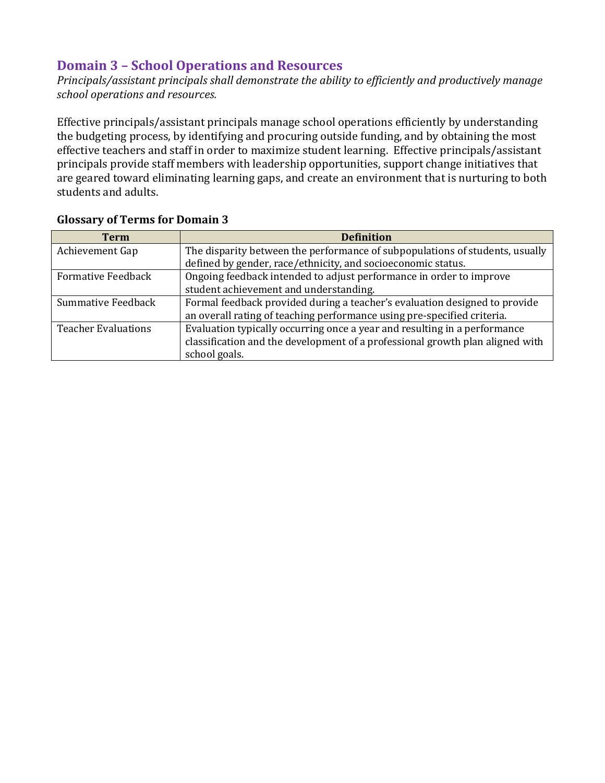# **Domain 3 – School Operations and Resources**

*Principals/assistant principals shall demonstrate the ability to efficiently and productively manage school operations and resources.* 

Effective principals/assistant principals manage school operations efficiently by understanding the budgeting process, by identifying and procuring outside funding, and by obtaining the most effective teachers and staff in order to maximize student learning. Effective principals/assistant principals provide staff members with leadership opportunities, support change initiatives that are geared toward eliminating learning gaps, and create an environment that is nurturing to both students and adults.

| Term                       | <b>Definition</b>                                                             |
|----------------------------|-------------------------------------------------------------------------------|
| Achievement Gap            | The disparity between the performance of subpopulations of students, usually  |
|                            | defined by gender, race/ethnicity, and socioeconomic status.                  |
| <b>Formative Feedback</b>  | Ongoing feedback intended to adjust performance in order to improve           |
|                            | student achievement and understanding.                                        |
| Summative Feedback         | Formal feedback provided during a teacher's evaluation designed to provide    |
|                            | an overall rating of teaching performance using pre-specified criteria.       |
| <b>Teacher Evaluations</b> | Evaluation typically occurring once a year and resulting in a performance     |
|                            | classification and the development of a professional growth plan aligned with |
|                            | school goals.                                                                 |

## **Glossary of Terms for Domain 3**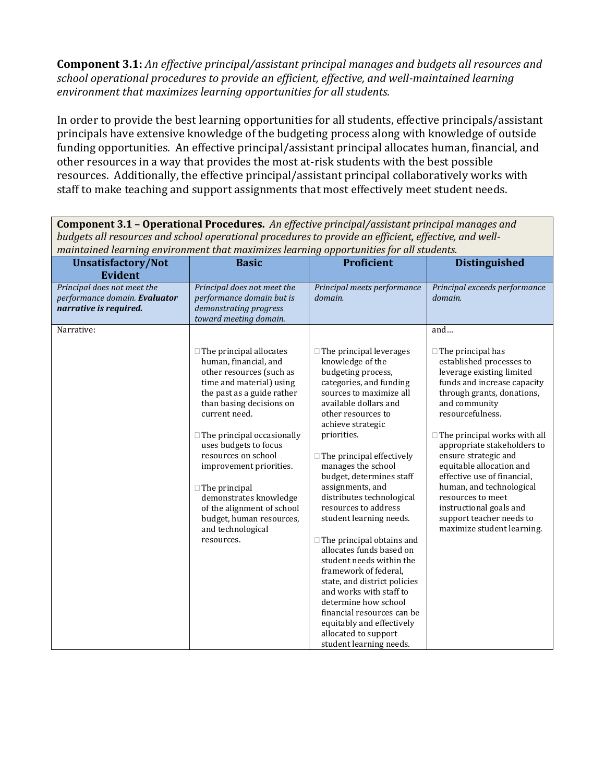**Component 3.1:** *An effective principal/assistant principal manages and budgets all resources and school operational procedures to provide an efficient, effective, and well-maintained learning environment that maximizes learning opportunities for all students.*

In order to provide the best learning opportunities for all students, effective principals/assistant principals have extensive knowledge of the budgeting process along with knowledge of outside funding opportunities. An effective principal/assistant principal allocates human, financial, and other resources in a way that provides the most at-risk students with the best possible resources. Additionally, the effective principal/assistant principal collaboratively works with staff to make teaching and support assignments that most effectively meet student needs.

| -buagets all resources and school operational proceaures to provide an efficient, effective, and well<br>maintained learning environment that maximizes learning opportunities for all students. |                                                                                                                                                                                                                                                                                                                                                                                                                                                           |                                                                                                                                                                                                                                                                                                                                                                                                                                                                                                                                                                                                                                                                                                        |                                                                                                                                                                                                                                                                                                                                                                                                                                                                                           |
|--------------------------------------------------------------------------------------------------------------------------------------------------------------------------------------------------|-----------------------------------------------------------------------------------------------------------------------------------------------------------------------------------------------------------------------------------------------------------------------------------------------------------------------------------------------------------------------------------------------------------------------------------------------------------|--------------------------------------------------------------------------------------------------------------------------------------------------------------------------------------------------------------------------------------------------------------------------------------------------------------------------------------------------------------------------------------------------------------------------------------------------------------------------------------------------------------------------------------------------------------------------------------------------------------------------------------------------------------------------------------------------------|-------------------------------------------------------------------------------------------------------------------------------------------------------------------------------------------------------------------------------------------------------------------------------------------------------------------------------------------------------------------------------------------------------------------------------------------------------------------------------------------|
| <b>Unsatisfactory/Not</b><br><b>Evident</b>                                                                                                                                                      | <b>Basic</b>                                                                                                                                                                                                                                                                                                                                                                                                                                              | Proficient                                                                                                                                                                                                                                                                                                                                                                                                                                                                                                                                                                                                                                                                                             | <b>Distinguished</b>                                                                                                                                                                                                                                                                                                                                                                                                                                                                      |
| Principal does not meet the<br>performance domain. Evaluator<br>narrative is required.                                                                                                           | Principal does not meet the<br>performance domain but is<br>demonstrating progress<br>toward meeting domain.                                                                                                                                                                                                                                                                                                                                              | Principal meets performance<br>domain.                                                                                                                                                                                                                                                                                                                                                                                                                                                                                                                                                                                                                                                                 | Principal exceeds performance<br>domain.                                                                                                                                                                                                                                                                                                                                                                                                                                                  |
| Narrative:                                                                                                                                                                                       | $\Box$ The principal allocates<br>human, financial, and<br>other resources (such as<br>time and material) using<br>the past as a guide rather<br>than basing decisions on<br>current need.<br>$\Box$ The principal occasionally<br>uses budgets to focus<br>resources on school<br>improvement priorities.<br>$\Box$ The principal<br>demonstrates knowledge<br>of the alignment of school<br>budget, human resources,<br>and technological<br>resources. | $\Box$ The principal leverages<br>knowledge of the<br>budgeting process,<br>categories, and funding<br>sources to maximize all<br>available dollars and<br>other resources to<br>achieve strategic<br>priorities.<br>$\Box$ The principal effectively<br>manages the school<br>budget, determines staff<br>assignments, and<br>distributes technological<br>resources to address<br>student learning needs.<br>$\Box$ The principal obtains and<br>allocates funds based on<br>student needs within the<br>framework of federal,<br>state, and district policies<br>and works with staff to<br>determine how school<br>financial resources can be<br>equitably and effectively<br>allocated to support | and<br>$\Box$ The principal has<br>established processes to<br>leverage existing limited<br>funds and increase capacity<br>through grants, donations,<br>and community<br>resourcefulness.<br>$\Box$ The principal works with all<br>appropriate stakeholders to<br>ensure strategic and<br>equitable allocation and<br>effective use of financial,<br>human, and technological<br>resources to meet<br>instructional goals and<br>support teacher needs to<br>maximize student learning. |
|                                                                                                                                                                                                  |                                                                                                                                                                                                                                                                                                                                                                                                                                                           | student learning needs.                                                                                                                                                                                                                                                                                                                                                                                                                                                                                                                                                                                                                                                                                |                                                                                                                                                                                                                                                                                                                                                                                                                                                                                           |

**Component 3.1 – Operational Procedures.** *An effective principal/assistant principal manages and budgets all resources and school operational procedures to provide an efficient, effective, and well-*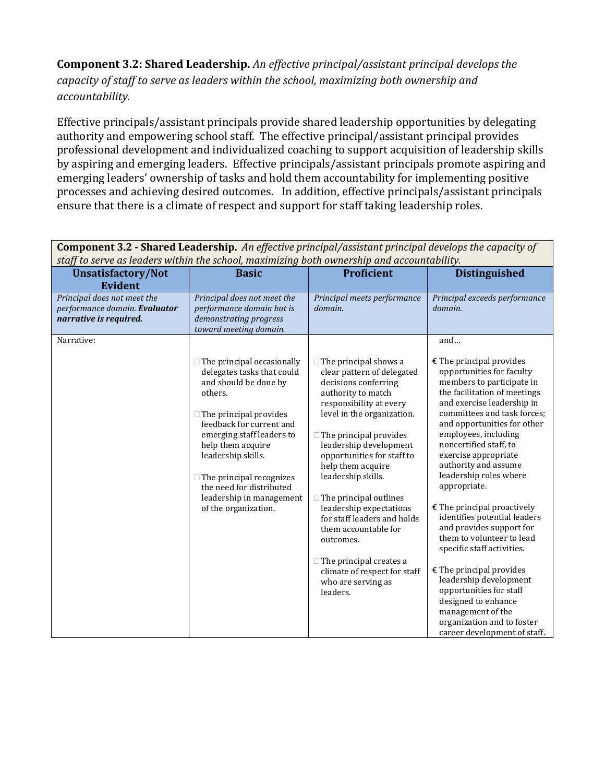**Component 3.2: Shared Leadership.** *An effective principal/assistant principal develops the capacity of staff to serve as leaders within the school, maximizing both ownership and accountability.* 

Effective principals/assistant principals provide shared leadership opportunities by delegating authority and empowering school staff. The effective principal/assistant principal provides professional development and individualized coaching to support acquisition of leadership skills by aspiring and emerging leaders. Effective principals/assistant principals promote aspiring and emerging leaders' ownership of tasks and hold them accountability for implementing positive processes and achieving desired outcomes. In addition, effective principals/assistant principals ensure that there is a climate of respect and support for staff taking leadership roles.

| component o.a. "onarea neuaeromp. The effective principal assistant principal acvelops the capacity of<br>staff to serve as leaders within the school, maximizing both ownership and accountability. |                                                                                                                                                                                                                                                                                                         |                                                                                                                                                                                                                                                                                                       |                                                                                                                                                                                                                                                                                                                                                              |
|------------------------------------------------------------------------------------------------------------------------------------------------------------------------------------------------------|---------------------------------------------------------------------------------------------------------------------------------------------------------------------------------------------------------------------------------------------------------------------------------------------------------|-------------------------------------------------------------------------------------------------------------------------------------------------------------------------------------------------------------------------------------------------------------------------------------------------------|--------------------------------------------------------------------------------------------------------------------------------------------------------------------------------------------------------------------------------------------------------------------------------------------------------------------------------------------------------------|
| <b>Unsatisfactory/Not</b><br><b>Evident</b>                                                                                                                                                          | <b>Basic</b>                                                                                                                                                                                                                                                                                            | <b>Proficient</b>                                                                                                                                                                                                                                                                                     | <b>Distinguished</b>                                                                                                                                                                                                                                                                                                                                         |
| Principal does not meet the<br>performance domain. Evaluator<br>narrative is required.                                                                                                               | Principal does not meet the<br>performance domain but is<br>demonstrating progress<br>toward meeting domain.                                                                                                                                                                                            | Principal meets performance<br>domain.                                                                                                                                                                                                                                                                | Principal exceeds performance<br>domain.                                                                                                                                                                                                                                                                                                                     |
| Narrative:                                                                                                                                                                                           |                                                                                                                                                                                                                                                                                                         |                                                                                                                                                                                                                                                                                                       | and                                                                                                                                                                                                                                                                                                                                                          |
|                                                                                                                                                                                                      | $\Box$ The principal occasionally<br>delegates tasks that could<br>and should be done by<br>others.<br>$\Box$ The principal provides<br>feedback for current and<br>emerging staff leaders to<br>help them acquire<br>leadership skills.<br>$\Box$ The principal recognizes<br>the need for distributed | $\Box$ The principal shows a<br>clear pattern of delegated<br>decisions conferring<br>authority to match<br>responsibility at every<br>level in the organization.<br>$\Box$ The principal provides<br>leadership development<br>opportunities for staff to<br>help them acquire<br>leadership skills. | $E$ The principal provides<br>opportunities for faculty<br>members to participate in<br>the facilitation of meetings<br>and exercise leadership in<br>committees and task forces;<br>and opportunities for other<br>employees, including<br>noncertified staff, to<br>exercise appropriate<br>authority and assume<br>leadership roles where<br>appropriate. |
|                                                                                                                                                                                                      | leadership in management<br>of the organization.                                                                                                                                                                                                                                                        | $\Box$ The principal outlines<br>leadership expectations<br>for staff leaders and holds<br>them accountable for<br>outcomes.                                                                                                                                                                          | $\epsilon$ The principal proactively<br>identifies potential leaders<br>and provides support for<br>them to volunteer to lead<br>specific staff activities.                                                                                                                                                                                                  |
|                                                                                                                                                                                                      |                                                                                                                                                                                                                                                                                                         | $\Box$ The principal creates a<br>climate of respect for staff<br>who are serving as<br>leaders.                                                                                                                                                                                                      | $E$ The principal provides<br>leadership development<br>opportunities for staff<br>designed to enhance<br>management of the<br>organization and to foster<br>career development of staff.                                                                                                                                                                    |

**Component 3.2 - Shared Leadership.** *An effective principal/assistant principal develops the capacity of*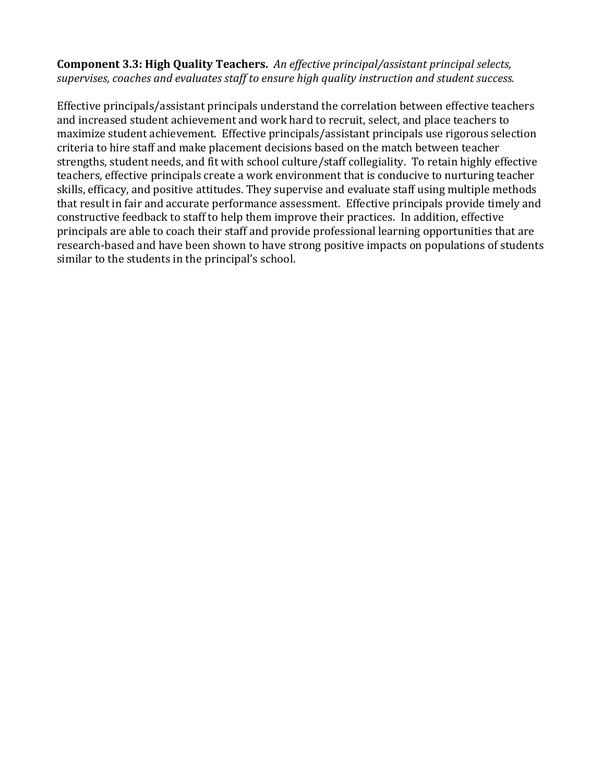**Component 3.3: High Quality Teachers.** *An effective principal/assistant principal selects, supervises, coaches and evaluates staff to ensure high quality instruction and student success.*

Effective principals/assistant principals understand the correlation between effective teachers and increased student achievement and work hard to recruit, select, and place teachers to maximize student achievement. Effective principals/assistant principals use rigorous selection criteria to hire staff and make placement decisions based on the match between teacher strengths, student needs, and fit with school culture/staff collegiality. To retain highly effective teachers, effective principals create a work environment that is conducive to nurturing teacher skills, efficacy, and positive attitudes. They supervise and evaluate staff using multiple methods that result in fair and accurate performance assessment. Effective principals provide timely and constructive feedback to staff to help them improve their practices. In addition, effective principals are able to coach their staff and provide professional learning opportunities that are research-based and have been shown to have strong positive impacts on populations of students similar to the students in the principal's school.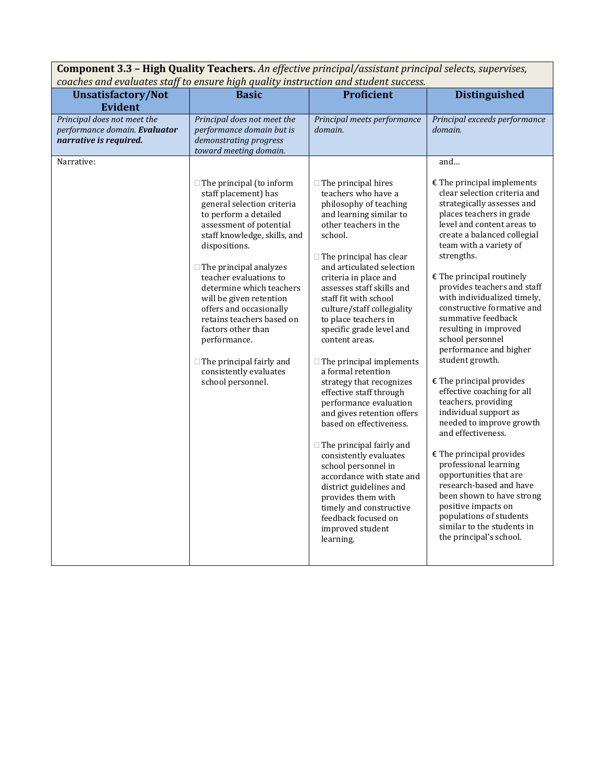| <b>Component 3.3 - High Quality Teachers.</b> An effective principal/assistant principal selects, supervises,<br>coaches and evaluates staff to ensure high quality instruction and student success. |                                                                                                                                                                                                                                                                                                                                                                                                                                                                                              |                                                                                                                                                                                                                                                                                                                                                                                                                                                                                   |                                                                                                                                                                                                                                                                                                                                                                                                                                                                                                                           |
|------------------------------------------------------------------------------------------------------------------------------------------------------------------------------------------------------|----------------------------------------------------------------------------------------------------------------------------------------------------------------------------------------------------------------------------------------------------------------------------------------------------------------------------------------------------------------------------------------------------------------------------------------------------------------------------------------------|-----------------------------------------------------------------------------------------------------------------------------------------------------------------------------------------------------------------------------------------------------------------------------------------------------------------------------------------------------------------------------------------------------------------------------------------------------------------------------------|---------------------------------------------------------------------------------------------------------------------------------------------------------------------------------------------------------------------------------------------------------------------------------------------------------------------------------------------------------------------------------------------------------------------------------------------------------------------------------------------------------------------------|
| <b>Unsatisfactory/Not</b><br><b>Evident</b>                                                                                                                                                          | <b>Basic</b>                                                                                                                                                                                                                                                                                                                                                                                                                                                                                 | <b>Proficient</b>                                                                                                                                                                                                                                                                                                                                                                                                                                                                 | <b>Distinguished</b>                                                                                                                                                                                                                                                                                                                                                                                                                                                                                                      |
| Principal does not meet the<br>performance domain. Evaluator<br>narrative is required.                                                                                                               | Principal does not meet the<br>performance domain but is<br>demonstrating progress<br>toward meeting domain.                                                                                                                                                                                                                                                                                                                                                                                 | Principal meets performance<br>domain.                                                                                                                                                                                                                                                                                                                                                                                                                                            | Principal exceeds performance<br>domain.                                                                                                                                                                                                                                                                                                                                                                                                                                                                                  |
| Narrative:                                                                                                                                                                                           |                                                                                                                                                                                                                                                                                                                                                                                                                                                                                              |                                                                                                                                                                                                                                                                                                                                                                                                                                                                                   | and                                                                                                                                                                                                                                                                                                                                                                                                                                                                                                                       |
|                                                                                                                                                                                                      | $\Box$ The principal (to inform<br>staff placement) has<br>general selection criteria<br>to perform a detailed<br>assessment of potential<br>staff knowledge, skills, and<br>dispositions.<br>$\Box$ The principal analyzes<br>teacher evaluations to<br>determine which teachers<br>will be given retention<br>offers and occasionally<br>retains teachers based on<br>factors other than<br>performance.<br>$\Box$ The principal fairly and<br>consistently evaluates<br>school personnel. | $\Box$ The principal hires<br>teachers who have a<br>philosophy of teaching<br>and learning similar to<br>other teachers in the<br>school.<br>$\Box$ The principal has clear<br>and articulated selection<br>criteria in place and<br>assesses staff skills and<br>staff fit with school<br>culture/staff collegiality<br>to place teachers in<br>specific grade level and<br>content areas.<br>$\Box$ The principal implements<br>a formal retention<br>strategy that recognizes | $\epsilon$ The principal implements<br>clear selection criteria and<br>strategically assesses and<br>places teachers in grade<br>level and content areas to<br>create a balanced collegial<br>team with a variety of<br>strengths.<br>$\epsilon$ The principal routinely<br>provides teachers and staff<br>with individualized timely,<br>constructive formative and<br>summative feedback<br>resulting in improved<br>school personnel<br>performance and higher<br>student growth.<br>$\epsilon$ The principal provides |
|                                                                                                                                                                                                      |                                                                                                                                                                                                                                                                                                                                                                                                                                                                                              | effective staff through<br>performance evaluation<br>and gives retention offers<br>based on effectiveness.<br>$\Box$ The principal fairly and                                                                                                                                                                                                                                                                                                                                     | effective coaching for all<br>teachers, providing<br>individual support as<br>needed to improve growth<br>and effectiveness.                                                                                                                                                                                                                                                                                                                                                                                              |
|                                                                                                                                                                                                      |                                                                                                                                                                                                                                                                                                                                                                                                                                                                                              | consistently evaluates<br>school personnel in<br>accordance with state and<br>district guidelines and<br>provides them with<br>timely and constructive<br>feedback focused on<br>improved student<br>learning.                                                                                                                                                                                                                                                                    | $E$ The principal provides<br>professional learning<br>opportunities that are<br>research-based and have<br>been shown to have strong<br>positive impacts on<br>populations of students<br>similar to the students in<br>the principal's school.                                                                                                                                                                                                                                                                          |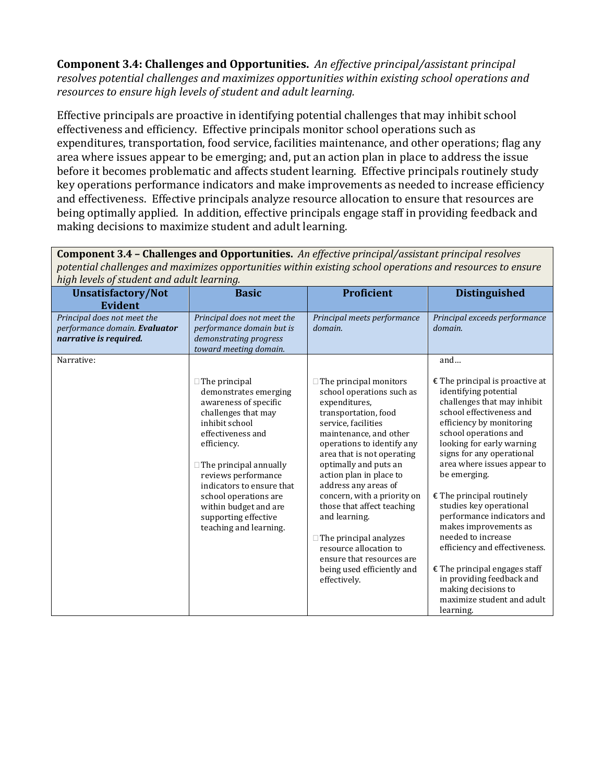**Component 3.4: Challenges and Opportunities.** *An effective principal/assistant principal resolves potential challenges and maximizes opportunities within existing school operations and resources to ensure high levels of student and adult learning.*

Effective principals are proactive in identifying potential challenges that may inhibit school effectiveness and efficiency. Effective principals monitor school operations such as expenditures, transportation, food service, facilities maintenance, and other operations; flag any area where issues appear to be emerging; and, put an action plan in place to address the issue before it becomes problematic and affects student learning. Effective principals routinely study key operations performance indicators and make improvements as needed to increase efficiency and effectiveness. Effective principals analyze resource allocation to ensure that resources are being optimally applied. In addition, effective principals engage staff in providing feedback and making decisions to maximize student and adult learning.

*high levels of student and adult learning.* **Unsatisfactory/Not Evident Basic Proficient Distinguished** *Principal does not meet the performance domain. Evaluator narrative is required. Principal does not meet the performance domain but is demonstrating progress toward meeting domain. Principal meets performance domain. Principal exceeds performance domain.* Narrative:  $\Box$  The principal demonstrates emerging awareness of specific challenges that may inhibit school effectiveness and efficiency.  $\Box$  The principal annually reviews performance indicators to ensure that school operations are within budget and are supporting effective teaching and learning.  $\Box$  The principal monitors school operations such as expenditures, transportation, food service, facilities maintenance, and other operations to identify any area that is not operating optimally and puts an action plan in place to address any areas of concern, with a priority on those that affect teaching and learning.  $\Box$  The principal analyzes resource allocation to ensure that resources are being used efficiently and effectively. and…  $E$  The principal is proactive at identifying potential challenges that may inhibit school effectiveness and efficiency by monitoring school operations and looking for early warning signs for any operational area where issues appear to be emerging. € The principal routinely studies key operational performance indicators and makes improvements as needed to increase efficiency and effectiveness.  $E$  The principal engages staff in providing feedback and making decisions to maximize student and adult learning.

**Component 3.4 – Challenges and Opportunities.** *An effective principal/assistant principal resolves potential challenges and maximizes opportunities within existing school operations and resources to ensure*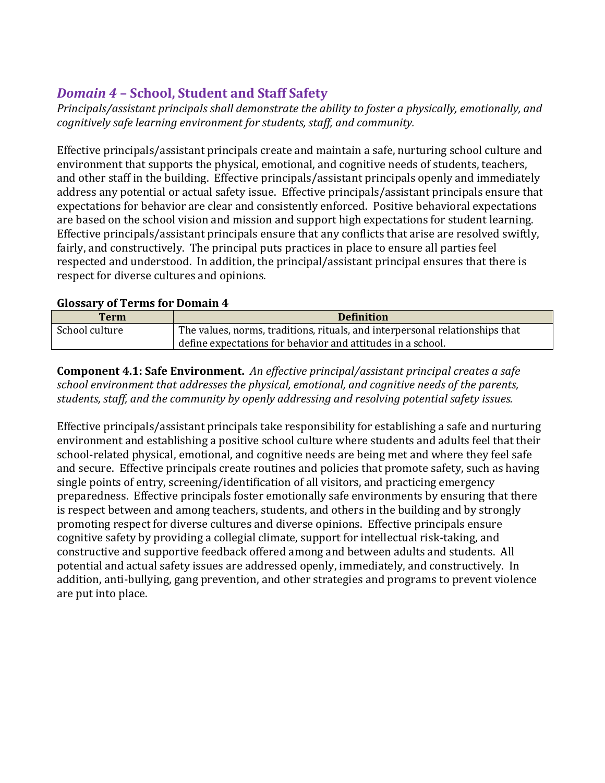# *Domain 4* **– School, Student and Staff Safety**

*Principals/assistant principals shall demonstrate the ability to foster a physically, emotionally, and cognitively safe learning environment for students, staff, and community.* 

Effective principals/assistant principals create and maintain a safe, nurturing school culture and environment that supports the physical, emotional, and cognitive needs of students, teachers, and other staff in the building. Effective principals/assistant principals openly and immediately address any potential or actual safety issue. Effective principals/assistant principals ensure that expectations for behavior are clear and consistently enforced. Positive behavioral expectations are based on the school vision and mission and support high expectations for student learning. Effective principals/assistant principals ensure that any conflicts that arise are resolved swiftly, fairly, and constructively. The principal puts practices in place to ensure all parties feel respected and understood. In addition, the principal/assistant principal ensures that there is respect for diverse cultures and opinions.

## **Glossary of Terms for Domain 4**

| <b>Term</b>    | <b>Definition</b>                                                            |
|----------------|------------------------------------------------------------------------------|
| School culture | The values, norms, traditions, rituals, and interpersonal relationships that |
|                | define expectations for behavior and attitudes in a school.                  |

**Component 4.1: Safe Environment.** *An effective principal/assistant principal creates a safe school environment that addresses the physical, emotional, and cognitive needs of the parents, students, staff, and the community by openly addressing and resolving potential safety issues.*

Effective principals/assistant principals take responsibility for establishing a safe and nurturing environment and establishing a positive school culture where students and adults feel that their school-related physical, emotional, and cognitive needs are being met and where they feel safe and secure. Effective principals create routines and policies that promote safety, such as having single points of entry, screening/identification of all visitors, and practicing emergency preparedness. Effective principals foster emotionally safe environments by ensuring that there is respect between and among teachers, students, and others in the building and by strongly promoting respect for diverse cultures and diverse opinions. Effective principals ensure cognitive safety by providing a collegial climate, support for intellectual risk-taking, and constructive and supportive feedback offered among and between adults and students. All potential and actual safety issues are addressed openly, immediately, and constructively. In addition, anti-bullying, gang prevention, and other strategies and programs to prevent violence are put into place.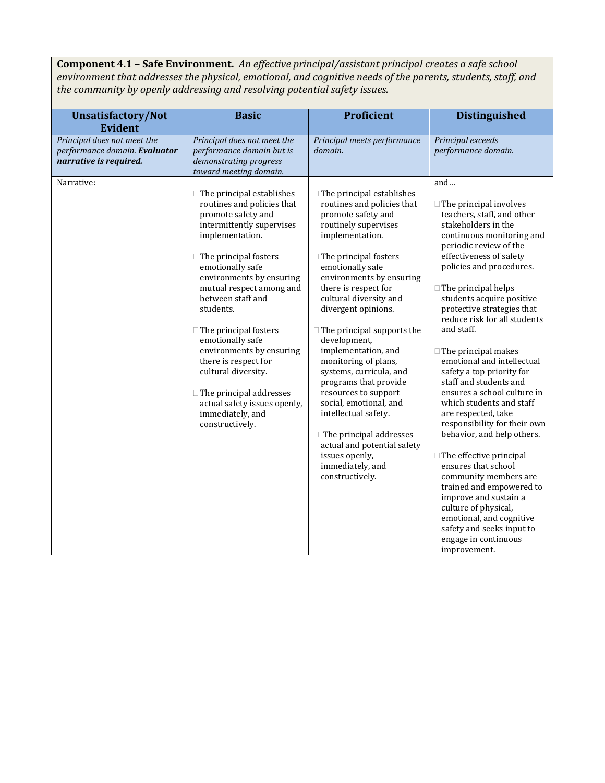**Component 4.1 – Safe Environment.** *An effective principal/assistant principal creates a safe school environment that addresses the physical, emotional, and cognitive needs of the parents, students, staff, and the community by openly addressing and resolving potential safety issues.*

| <b>Unsatisfactory/Not</b>                                                                            | <b>Basic</b>                                                                                                                                                                      | Proficient                                                                                                                                                                                  | <b>Distinguished</b>                                                                                                                                                                                                                                         |
|------------------------------------------------------------------------------------------------------|-----------------------------------------------------------------------------------------------------------------------------------------------------------------------------------|---------------------------------------------------------------------------------------------------------------------------------------------------------------------------------------------|--------------------------------------------------------------------------------------------------------------------------------------------------------------------------------------------------------------------------------------------------------------|
| <b>Evident</b>                                                                                       |                                                                                                                                                                                   |                                                                                                                                                                                             |                                                                                                                                                                                                                                                              |
| Principal does not meet the<br>performance domain. Evaluator<br>narrative is required.<br>Narrative: | Principal does not meet the<br>performance domain but is<br>demonstrating progress<br>toward meeting domain.<br>$\Box$ The principal establishes<br>routines and policies that    | Principal meets performance<br>domain.<br>$\Box$ The principal establishes<br>routines and policies that                                                                                    | Principal exceeds<br>performance domain.<br>and<br>$\Box$ The principal involves                                                                                                                                                                             |
|                                                                                                      | promote safety and<br>intermittently supervises<br>implementation.<br>$\Box$<br>The principal fosters<br>emotionally safe<br>environments by ensuring<br>mutual respect among and | promote safety and<br>routinely supervises<br>implementation.<br>$\Box$ The principal fosters<br>emotionally safe<br>environments by ensuring<br>there is respect for                       | teachers, staff, and other<br>stakeholders in the<br>continuous monitoring and<br>periodic review of the<br>effectiveness of safety<br>policies and procedures.<br>$\Box$ The principal helps                                                                |
|                                                                                                      | between staff and<br>students.<br>$\Box$ The principal fosters<br>emotionally safe<br>environments by ensuring<br>there is respect for                                            | cultural diversity and<br>divergent opinions.<br>$\Box$ The principal supports the<br>development,<br>implementation, and<br>monitoring of plans,                                           | students acquire positive<br>protective strategies that<br>reduce risk for all students<br>and staff.<br>$\Box$ The principal makes<br>emotional and intellectual                                                                                            |
|                                                                                                      | cultural diversity.<br>$\Box$ The principal addresses<br>actual safety issues openly,<br>immediately, and<br>constructively.                                                      | systems, curricula, and<br>programs that provide<br>resources to support<br>social, emotional, and<br>intellectual safety.<br>$\Box$ The principal addresses<br>actual and potential safety | safety a top priority for<br>staff and students and<br>ensures a school culture in<br>which students and staff<br>are respected, take<br>responsibility for their own<br>behavior, and help others.                                                          |
|                                                                                                      |                                                                                                                                                                                   | issues openly,<br>immediately, and<br>constructively.                                                                                                                                       | $\Box$ The effective principal<br>ensures that school<br>community members are<br>trained and empowered to<br>improve and sustain a<br>culture of physical,<br>emotional, and cognitive<br>safety and seeks input to<br>engage in continuous<br>improvement. |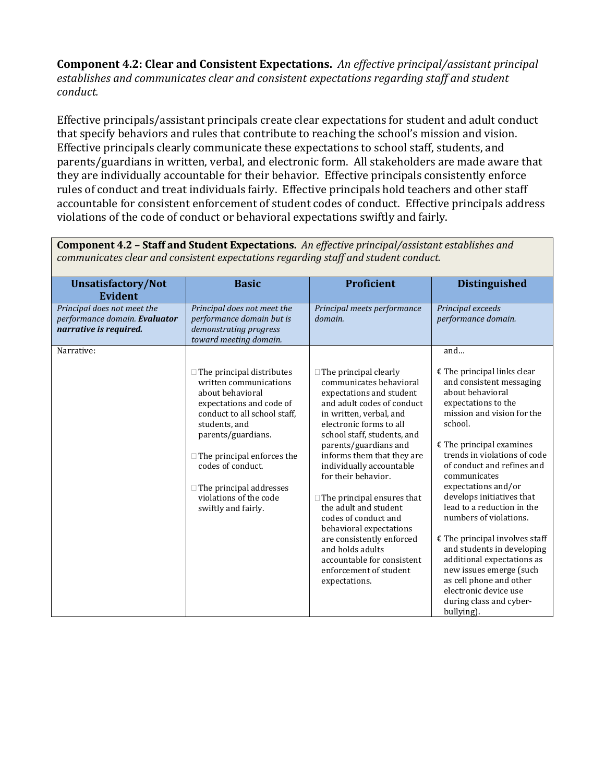**Component 4.2: Clear and Consistent Expectations.** *An effective principal/assistant principal establishes and communicates clear and consistent expectations regarding staff and student conduct.*

Effective principals/assistant principals create clear expectations for student and adult conduct that specify behaviors and rules that contribute to reaching the school's mission and vision. Effective principals clearly communicate these expectations to school staff, students, and parents/guardians in written, verbal, and electronic form. All stakeholders are made aware that they are individually accountable for their behavior. Effective principals consistently enforce rules of conduct and treat individuals fairly. Effective principals hold teachers and other staff accountable for consistent enforcement of student codes of conduct. Effective principals address violations of the code of conduct or behavioral expectations swiftly and fairly.

**Component 4.2 – Staff and Student Expectations.** *An effective principal/assistant establishes and communicates clear and consistent expectations regarding staff and student conduct.* **Unsatisfactory/Not Evident Basic Proficient Distinguished** *Principal does not meet the performance domain. Evaluator narrative is required. Principal does not meet the performance domain but is demonstrating progress toward meeting domain. Principal meets performance domain. Principal exceeds performance domain.* Narrative:  $\Box$  The principal distributes written communications about behavioral expectations and code of conduct to all school staff, students, and parents/guardians.  $\Box$  The principal enforces the codes of conduct.  $\Box$  The principal addresses violations of the code swiftly and fairly.  $\Box$  The principal clearly communicates behavioral expectations and student and adult codes of conduct in written, verbal, and electronic forms to all school staff, students, and parents/guardians and informs them that they are individually accountable for their behavior.  $\Box$  The principal ensures that the adult and student codes of conduct and behavioral expectations are consistently enforced and holds adults accountable for consistent enforcement of student expectations. and…  $E$  The principal links clear and consistent messaging about behavioral expectations to the mission and vision for the school.  $E$  The principal examines trends in violations of code of conduct and refines and communicates expectations and/or develops initiatives that lead to a reduction in the numbers of violations.  $E$  The principal involves staff and students in developing additional expectations as new issues emerge (such as cell phone and other electronic device use during class and cyberbullying).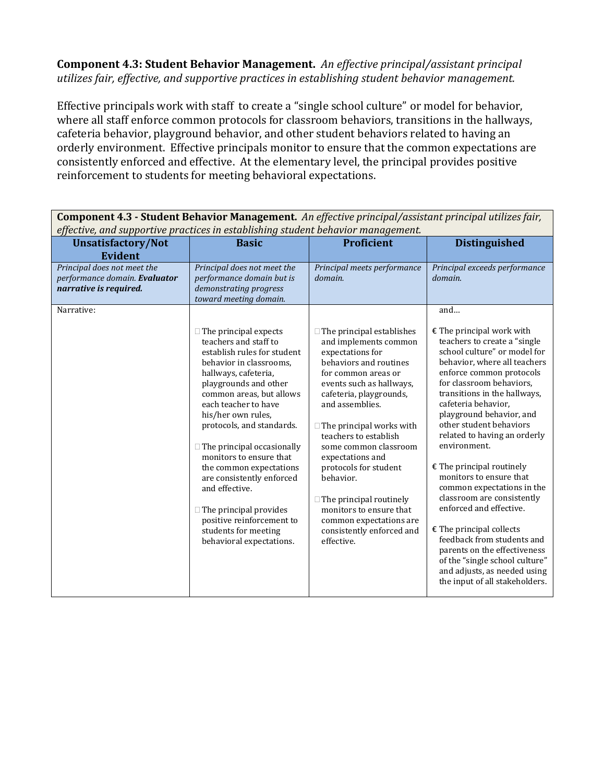**Component 4.3: Student Behavior Management.** *An effective principal/assistant principal utilizes fair, effective, and supportive practices in establishing student behavior management.* 

Effective principals work with staff to create a "single school culture" or model for behavior, where all staff enforce common protocols for classroom behaviors, transitions in the hallways, cafeteria behavior, playground behavior, and other student behaviors related to having an orderly environment. Effective principals monitor to ensure that the common expectations are consistently enforced and effective. At the elementary level, the principal provides positive reinforcement to students for meeting behavioral expectations.

| effective, and supportive practices in establishing student behavior management.                     |                                                                                                                                                                                                                                                                                                                                                                                                                                                                                                                                     |                                                                                                                                                                                                                                                                                                                                                                                                                                                                                            |                                                                                                                                                                                                                                                                                                                                                                                                                                                                                                                                                                                                                                                                                                                  |
|------------------------------------------------------------------------------------------------------|-------------------------------------------------------------------------------------------------------------------------------------------------------------------------------------------------------------------------------------------------------------------------------------------------------------------------------------------------------------------------------------------------------------------------------------------------------------------------------------------------------------------------------------|--------------------------------------------------------------------------------------------------------------------------------------------------------------------------------------------------------------------------------------------------------------------------------------------------------------------------------------------------------------------------------------------------------------------------------------------------------------------------------------------|------------------------------------------------------------------------------------------------------------------------------------------------------------------------------------------------------------------------------------------------------------------------------------------------------------------------------------------------------------------------------------------------------------------------------------------------------------------------------------------------------------------------------------------------------------------------------------------------------------------------------------------------------------------------------------------------------------------|
| <b>Unsatisfactory/Not</b><br><b>Evident</b>                                                          | <b>Basic</b>                                                                                                                                                                                                                                                                                                                                                                                                                                                                                                                        | <b>Proficient</b>                                                                                                                                                                                                                                                                                                                                                                                                                                                                          | <b>Distinguished</b>                                                                                                                                                                                                                                                                                                                                                                                                                                                                                                                                                                                                                                                                                             |
| Principal does not meet the<br>performance domain. Evaluator<br>narrative is required.<br>Narrative: | Principal does not meet the<br>performance domain but is<br>demonstrating progress<br>toward meeting domain.                                                                                                                                                                                                                                                                                                                                                                                                                        | Principal meets performance<br>domain.                                                                                                                                                                                                                                                                                                                                                                                                                                                     | Principal exceeds performance<br>domain.<br>and                                                                                                                                                                                                                                                                                                                                                                                                                                                                                                                                                                                                                                                                  |
|                                                                                                      | $\Box$ The principal expects<br>teachers and staff to<br>establish rules for student<br>behavior in classrooms.<br>hallways, cafeteria,<br>playgrounds and other<br>common areas, but allows<br>each teacher to have<br>his/her own rules,<br>protocols, and standards.<br>$\Box$ The principal occasionally<br>monitors to ensure that<br>the common expectations<br>are consistently enforced<br>and effective.<br>$\Box$ The principal provides<br>positive reinforcement to<br>students for meeting<br>behavioral expectations. | $\Box$ The principal establishes<br>and implements common<br>expectations for<br>behaviors and routines<br>for common areas or<br>events such as hallways,<br>cafeteria, playgrounds,<br>and assemblies.<br>$\Box$ The principal works with<br>teachers to establish<br>some common classroom<br>expectations and<br>protocols for student<br>behavior.<br>$\Box$ The principal routinely<br>monitors to ensure that<br>common expectations are<br>consistently enforced and<br>effective. | $\epsilon$ The principal work with<br>teachers to create a "single<br>school culture" or model for<br>behavior, where all teachers<br>enforce common protocols<br>for classroom behaviors,<br>transitions in the hallways,<br>cafeteria behavior.<br>playground behavior, and<br>other student behaviors<br>related to having an orderly<br>environment.<br>$\epsilon$ The principal routinely<br>monitors to ensure that<br>common expectations in the<br>classroom are consistently<br>enforced and effective.<br>$E$ The principal collects<br>feedback from students and<br>parents on the effectiveness<br>of the "single school culture"<br>and adjusts, as needed using<br>the input of all stakeholders. |

**Component 4.3 - Student Behavior Management.** *An effective principal/assistant principal utilizes fair, effective, and supportive practices in establishing student behavior management.*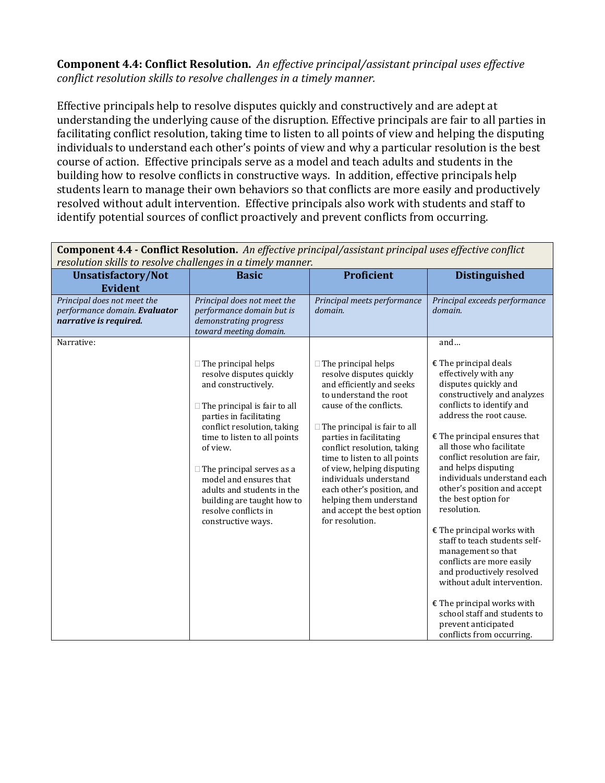#### **Component 4.4: Conflict Resolution.** *An effective principal/assistant principal uses effective conflict resolution skills to resolve challenges in a timely manner.*

Effective principals help to resolve disputes quickly and constructively and are adept at understanding the underlying cause of the disruption. Effective principals are fair to all parties in facilitating conflict resolution, taking time to listen to all points of view and helping the disputing individuals to understand each other's points of view and why a particular resolution is the best course of action. Effective principals serve as a model and teach adults and students in the building how to resolve conflicts in constructive ways. In addition, effective principals help students learn to manage their own behaviors so that conflicts are more easily and productively resolved without adult intervention. Effective principals also work with students and staff to identify potential sources of conflict proactively and prevent conflicts from occurring.

| resolution skills to resolve challenges in a timely manner.                            |                                                                                                                                                                                                                                                                                                                                                                                                    |                                                                                                                                                                                                                                                                                                                                                                                                                                             |                                                                                                                                                                                                                                                                                                                                                                                                                                                                                                                                                                                                                                               |
|----------------------------------------------------------------------------------------|----------------------------------------------------------------------------------------------------------------------------------------------------------------------------------------------------------------------------------------------------------------------------------------------------------------------------------------------------------------------------------------------------|---------------------------------------------------------------------------------------------------------------------------------------------------------------------------------------------------------------------------------------------------------------------------------------------------------------------------------------------------------------------------------------------------------------------------------------------|-----------------------------------------------------------------------------------------------------------------------------------------------------------------------------------------------------------------------------------------------------------------------------------------------------------------------------------------------------------------------------------------------------------------------------------------------------------------------------------------------------------------------------------------------------------------------------------------------------------------------------------------------|
| <b>Unsatisfactory/Not</b><br><b>Evident</b>                                            | <b>Basic</b>                                                                                                                                                                                                                                                                                                                                                                                       | <b>Proficient</b>                                                                                                                                                                                                                                                                                                                                                                                                                           | <b>Distinguished</b>                                                                                                                                                                                                                                                                                                                                                                                                                                                                                                                                                                                                                          |
| Principal does not meet the<br>performance domain. Evaluator<br>narrative is required. | Principal does not meet the<br>performance domain but is<br>demonstrating progress<br>toward meeting domain.                                                                                                                                                                                                                                                                                       | Principal meets performance<br>domain.                                                                                                                                                                                                                                                                                                                                                                                                      | Principal exceeds performance<br>domain.                                                                                                                                                                                                                                                                                                                                                                                                                                                                                                                                                                                                      |
| Narrative:                                                                             | $\Box$ The principal helps<br>resolve disputes quickly<br>and constructively.<br>$\Box$ The principal is fair to all<br>parties in facilitating<br>conflict resolution, taking<br>time to listen to all points<br>of view.<br>$\Box$ The principal serves as a<br>model and ensures that<br>adults and students in the<br>building are taught how to<br>resolve conflicts in<br>constructive ways. | $\Box$ The principal helps<br>resolve disputes quickly<br>and efficiently and seeks<br>to understand the root<br>cause of the conflicts.<br>$\Box$ The principal is fair to all<br>parties in facilitating<br>conflict resolution, taking<br>time to listen to all points<br>of view, helping disputing<br>individuals understand<br>each other's position, and<br>helping them understand<br>and accept the best option<br>for resolution. | and<br>$E$ The principal deals<br>effectively with any<br>disputes quickly and<br>constructively and analyzes<br>conflicts to identify and<br>address the root cause.<br>$E$ The principal ensures that<br>all those who facilitate<br>conflict resolution are fair.<br>and helps disputing<br>individuals understand each<br>other's position and accept<br>the best option for<br>resolution.<br>$E$ The principal works with<br>staff to teach students self-<br>management so that<br>conflicts are more easily<br>and productively resolved<br>without adult intervention.<br>€ The principal works with<br>school staff and students to |
|                                                                                        |                                                                                                                                                                                                                                                                                                                                                                                                    |                                                                                                                                                                                                                                                                                                                                                                                                                                             | prevent anticipated<br>conflicts from occurring.                                                                                                                                                                                                                                                                                                                                                                                                                                                                                                                                                                                              |

**Component 4.4 - Conflict Resolution.** *An effective principal/assistant principal uses effective conflict resolution skills to resolve challenges in a timely manner.*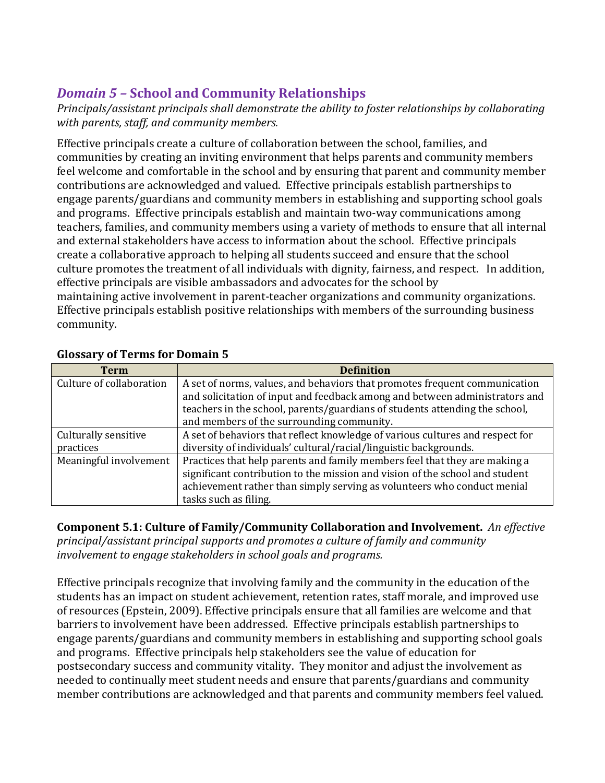# *Domain 5 –* **School and Community Relationships**

*Principals/assistant principals shall demonstrate the ability to foster relationships by collaborating with parents, staff, and community members.* 

Effective principals create a culture of collaboration between the school, families, and communities by creating an inviting environment that helps parents and community members feel welcome and comfortable in the school and by ensuring that parent and community member contributions are acknowledged and valued. Effective principals establish partnerships to engage parents/guardians and community members in establishing and supporting school goals and programs. Effective principals establish and maintain two-way communications among teachers, families, and community members using a variety of methods to ensure that all internal and external stakeholders have access to information about the school. Effective principals create a collaborative approach to helping all students succeed and ensure that the school culture promotes the treatment of all individuals with dignity, fairness, and respect. In addition, effective principals are visible ambassadors and advocates for the school by maintaining active involvement in parent-teacher organizations and community organizations. Effective principals establish positive relationships with members of the surrounding business community.

| <b>Term</b>              | <b>Definition</b>                                                             |
|--------------------------|-------------------------------------------------------------------------------|
| Culture of collaboration | A set of norms, values, and behaviors that promotes frequent communication    |
|                          | and solicitation of input and feedback among and between administrators and   |
|                          | teachers in the school, parents/guardians of students attending the school,   |
|                          | and members of the surrounding community.                                     |
| Culturally sensitive     | A set of behaviors that reflect knowledge of various cultures and respect for |
| practices                | diversity of individuals' cultural/racial/linguistic backgrounds.             |
| Meaningful involvement   | Practices that help parents and family members feel that they are making a    |
|                          | significant contribution to the mission and vision of the school and student  |
|                          | achievement rather than simply serving as volunteers who conduct menial       |
|                          | tasks such as filing.                                                         |

## **Glossary of Terms for Domain 5**

**Component 5.1: Culture of Family/Community Collaboration and Involvement.** *An effective principal/assistant principal supports and promotes a culture of family and community involvement to engage stakeholders in school goals and programs.*

Effective principals recognize that involving family and the community in the education of the students has an impact on student achievement, retention rates, staff morale, and improved use of resources (Epstein, 2009). Effective principals ensure that all families are welcome and that barriers to involvement have been addressed. Effective principals establish partnerships to engage parents/guardians and community members in establishing and supporting school goals and programs. Effective principals help stakeholders see the value of education for postsecondary success and community vitality. They monitor and adjust the involvement as needed to continually meet student needs and ensure that parents/guardians and community member contributions are acknowledged and that parents and community members feel valued.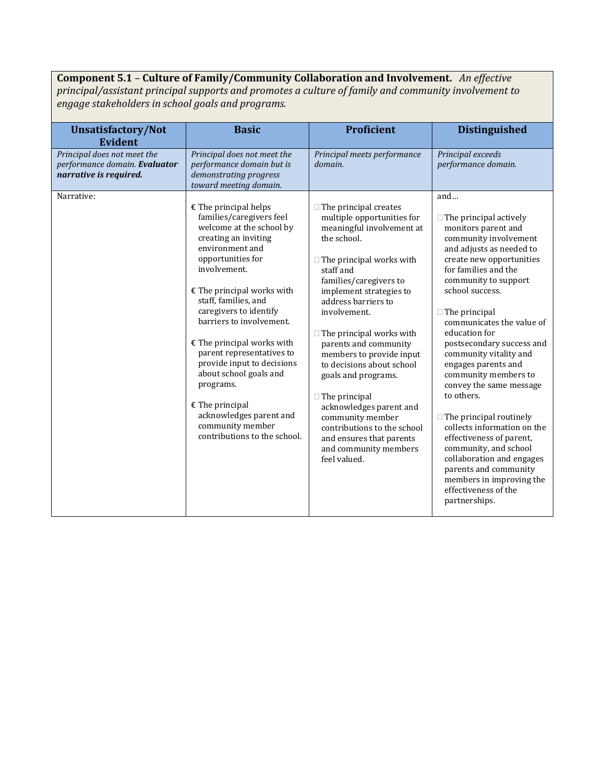## **Component 5.1** – **Culture of Family/Community Collaboration and Involvement.** *An effective*

*principal/assistant principal supports and promotes a culture of family and community involvement to engage stakeholders in school goals and programs.* 

| <b>Unsatisfactory/Not</b><br><b>Evident</b>                                            | <b>Basic</b>                                                                                                                                                                                                                                                                                                                                                                                                                                                                                                        | Proficient                                                                                                                                                                                                                                                                                                                                                                                                                                                                                                                                                                | <b>Distinguished</b>                                                                                                                                                                                                                                                                                                                                                                                                                                                                                                                                                                                                                                                                  |
|----------------------------------------------------------------------------------------|---------------------------------------------------------------------------------------------------------------------------------------------------------------------------------------------------------------------------------------------------------------------------------------------------------------------------------------------------------------------------------------------------------------------------------------------------------------------------------------------------------------------|---------------------------------------------------------------------------------------------------------------------------------------------------------------------------------------------------------------------------------------------------------------------------------------------------------------------------------------------------------------------------------------------------------------------------------------------------------------------------------------------------------------------------------------------------------------------------|---------------------------------------------------------------------------------------------------------------------------------------------------------------------------------------------------------------------------------------------------------------------------------------------------------------------------------------------------------------------------------------------------------------------------------------------------------------------------------------------------------------------------------------------------------------------------------------------------------------------------------------------------------------------------------------|
| Principal does not meet the<br>performance domain. Evaluator<br>narrative is required. | Principal does not meet the<br>performance domain but is<br>demonstrating progress<br>toward meeting domain.                                                                                                                                                                                                                                                                                                                                                                                                        | Principal meets performance<br>domain.                                                                                                                                                                                                                                                                                                                                                                                                                                                                                                                                    | Principal exceeds<br>performance domain.                                                                                                                                                                                                                                                                                                                                                                                                                                                                                                                                                                                                                                              |
| Narrative:                                                                             | $E$ The principal helps<br>families/caregivers feel<br>welcome at the school by<br>creating an inviting<br>environment and<br>opportunities for<br>involvement.<br>$E$ The principal works with<br>staff, families, and<br>caregivers to identify<br>barriers to involvement.<br>$E$ The principal works with<br>parent representatives to<br>provide input to decisions<br>about school goals and<br>programs.<br>$E$ The principal<br>acknowledges parent and<br>community member<br>contributions to the school. | $\Box$ The principal creates<br>multiple opportunities for<br>meaningful involvement at<br>the school.<br>$\Box$ The principal works with<br>staff and<br>families/caregivers to<br>implement strategies to<br>address barriers to<br>involvement.<br>$\Box$ The principal works with<br>parents and community<br>members to provide input<br>to decisions about school<br>goals and programs.<br>$\Box$ The principal<br>acknowledges parent and<br>community member<br>contributions to the school<br>and ensures that parents<br>and community members<br>feel valued. | and<br>$\Box$ The principal actively<br>monitors parent and<br>community involvement<br>and adjusts as needed to<br>create new opportunities<br>for families and the<br>community to support<br>school success.<br>$\Box$ The principal<br>communicates the value of<br>education for<br>postsecondary success and<br>community vitality and<br>engages parents and<br>community members to<br>convey the same message<br>to others.<br>$\Box$ The principal routinely<br>collects information on the<br>effectiveness of parent,<br>community, and school<br>collaboration and engages<br>parents and community<br>members in improving the<br>effectiveness of the<br>partnerships. |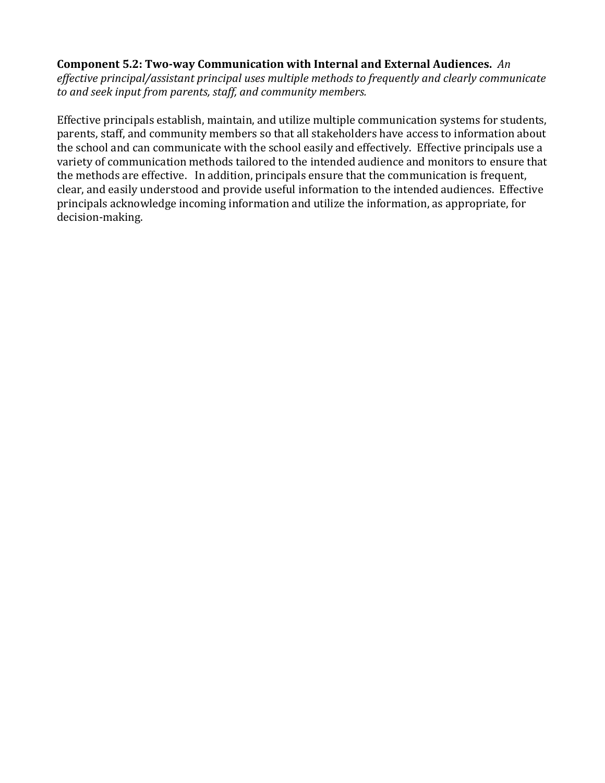#### **Component 5.2: Two-way Communication with Internal and External Audiences.** *An*

*effective principal/assistant principal uses multiple methods to frequently and clearly communicate to and seek input from parents, staff, and community members.*

Effective principals establish, maintain, and utilize multiple communication systems for students, parents, staff, and community members so that all stakeholders have access to information about the school and can communicate with the school easily and effectively. Effective principals use a variety of communication methods tailored to the intended audience and monitors to ensure that the methods are effective. In addition, principals ensure that the communication is frequent, clear, and easily understood and provide useful information to the intended audiences. Effective principals acknowledge incoming information and utilize the information, as appropriate, for decision-making.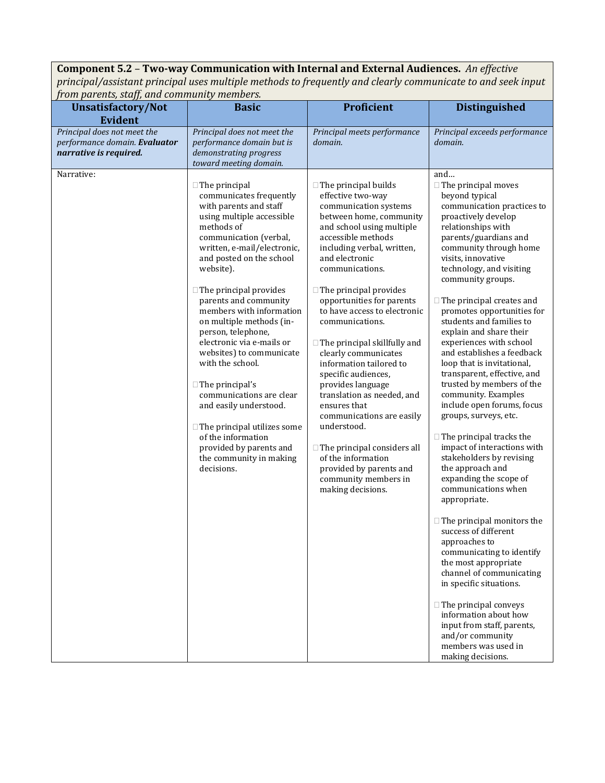**Component 5.2** – **Two-way Communication with Internal and External Audiences.** *An effective principal/assistant principal uses multiple methods to frequently and clearly communicate to and seek input from parents, staff, and community members.*

| rom parents, stajj, and community members.                                             |                                                                                                                                                                                                                                                                                                                                                                                                                                                                                                                                                                                                                                                             | <b>Proficient</b>                                                                                                                                                                                                                                                                                                                                                                                                                                                                                                                                                                                                                                                                                               | <b>Distinguished</b>                                                                                                                                                                                                                                                                                                                                                                                                                                                                                                                                                                                                                                                                                                                                                                                                                                                                                                                                                                                                                                                                                                                              |
|----------------------------------------------------------------------------------------|-------------------------------------------------------------------------------------------------------------------------------------------------------------------------------------------------------------------------------------------------------------------------------------------------------------------------------------------------------------------------------------------------------------------------------------------------------------------------------------------------------------------------------------------------------------------------------------------------------------------------------------------------------------|-----------------------------------------------------------------------------------------------------------------------------------------------------------------------------------------------------------------------------------------------------------------------------------------------------------------------------------------------------------------------------------------------------------------------------------------------------------------------------------------------------------------------------------------------------------------------------------------------------------------------------------------------------------------------------------------------------------------|---------------------------------------------------------------------------------------------------------------------------------------------------------------------------------------------------------------------------------------------------------------------------------------------------------------------------------------------------------------------------------------------------------------------------------------------------------------------------------------------------------------------------------------------------------------------------------------------------------------------------------------------------------------------------------------------------------------------------------------------------------------------------------------------------------------------------------------------------------------------------------------------------------------------------------------------------------------------------------------------------------------------------------------------------------------------------------------------------------------------------------------------------|
| <b>Unsatisfactory/Not</b><br><b>Evident</b>                                            | <b>Basic</b>                                                                                                                                                                                                                                                                                                                                                                                                                                                                                                                                                                                                                                                |                                                                                                                                                                                                                                                                                                                                                                                                                                                                                                                                                                                                                                                                                                                 |                                                                                                                                                                                                                                                                                                                                                                                                                                                                                                                                                                                                                                                                                                                                                                                                                                                                                                                                                                                                                                                                                                                                                   |
| Principal does not meet the<br>performance domain. Evaluator<br>narrative is required. | Principal does not meet the<br>performance domain but is<br>demonstrating progress<br>toward meeting domain.                                                                                                                                                                                                                                                                                                                                                                                                                                                                                                                                                | Principal meets performance<br>domain.                                                                                                                                                                                                                                                                                                                                                                                                                                                                                                                                                                                                                                                                          | Principal exceeds performance<br>domain.                                                                                                                                                                                                                                                                                                                                                                                                                                                                                                                                                                                                                                                                                                                                                                                                                                                                                                                                                                                                                                                                                                          |
| Narrative:                                                                             | $\Box$ The principal<br>communicates frequently<br>with parents and staff<br>using multiple accessible<br>methods of<br>communication (verbal,<br>written, e-mail/electronic,<br>and posted on the school<br>website).<br>$\Box$ The principal provides<br>parents and community<br>members with information<br>on multiple methods (in-<br>person, telephone,<br>electronic via e-mails or<br>websites) to communicate<br>with the school.<br>$\Box$ The principal's<br>communications are clear<br>and easily understood.<br>$\Box$ The principal utilizes some<br>of the information<br>provided by parents and<br>the community in making<br>decisions. | $\Box$ The principal builds<br>effective two-way<br>communication systems<br>between home, community<br>and school using multiple<br>accessible methods<br>including verbal, written,<br>and electronic<br>communications.<br>$\Box$ The principal provides<br>opportunities for parents<br>to have access to electronic<br>communications.<br>$\Box$ The principal skillfully and<br>clearly communicates<br>information tailored to<br>specific audiences,<br>provides language<br>translation as needed, and<br>ensures that<br>communications are easily<br>understood.<br>$\Box$ The principal considers all<br>of the information<br>provided by parents and<br>community members in<br>making decisions. | and<br>□ The principal moves<br>beyond typical<br>communication practices to<br>proactively develop<br>relationships with<br>parents/guardians and<br>community through home<br>visits, innovative<br>technology, and visiting<br>community groups.<br>$\Box$ The principal creates and<br>promotes opportunities for<br>students and families to<br>explain and share their<br>experiences with school<br>and establishes a feedback<br>loop that is invitational,<br>transparent, effective, and<br>trusted by members of the<br>community. Examples<br>include open forums, focus<br>groups, surveys, etc.<br>$\Box$ The principal tracks the<br>impact of interactions with<br>stakeholders by revising<br>the approach and<br>expanding the scope of<br>communications when<br>appropriate.<br>$\Box$ The principal monitors the<br>success of different<br>approaches to<br>communicating to identify<br>the most appropriate<br>channel of communicating<br>in specific situations.<br>$\Box$ The principal conveys<br>information about how<br>input from staff, parents,<br>and/or community<br>members was used in<br>making decisions. |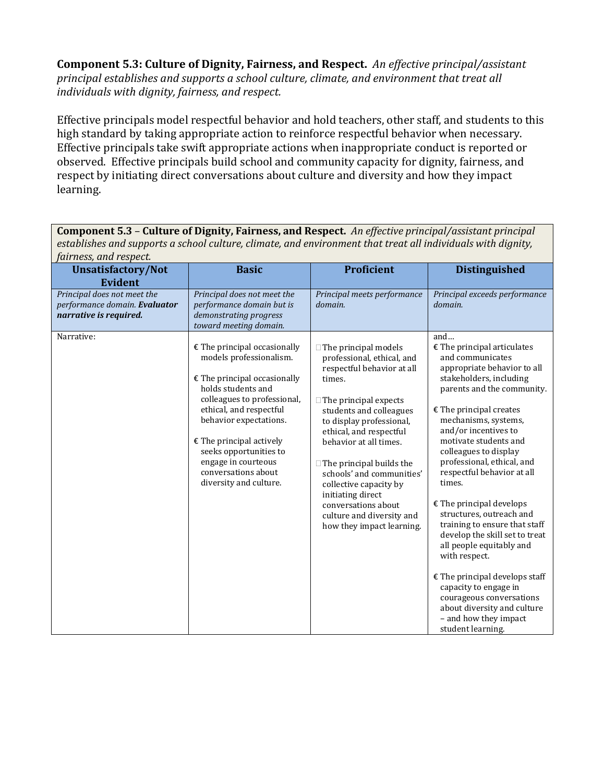**Component 5.3: Culture of Dignity, Fairness, and Respect.** *An effective principal/assistant principal establishes and supports a school culture, climate, and environment that treat all individuals with dignity, fairness, and respect.*

Effective principals model respectful behavior and hold teachers, other staff, and students to this high standard by taking appropriate action to reinforce respectful behavior when necessary. Effective principals take swift appropriate actions when inappropriate conduct is reported or observed. Effective principals build school and community capacity for dignity, fairness, and respect by initiating direct conversations about culture and diversity and how they impact learning.

**Component 5.3** – **Culture of Dignity, Fairness, and Respect.** *An effective principal/assistant principal establishes and supports a school culture, climate, and environment that treat all individuals with dignity, fairness, and respect.*

| Unsatisfactory/Not<br><b>Evident</b>                                                   | <b>Basic</b>                                                                                                                                                                                                                                                                                                                                 | Proficient                                                                                                                                                                                                                                                                                                                                                                                                                                    | <b>Distinguished</b>                                                                                                                                                                                                                                                                                                                                                                                                                                                                                                                                                                                                                                                                                  |
|----------------------------------------------------------------------------------------|----------------------------------------------------------------------------------------------------------------------------------------------------------------------------------------------------------------------------------------------------------------------------------------------------------------------------------------------|-----------------------------------------------------------------------------------------------------------------------------------------------------------------------------------------------------------------------------------------------------------------------------------------------------------------------------------------------------------------------------------------------------------------------------------------------|-------------------------------------------------------------------------------------------------------------------------------------------------------------------------------------------------------------------------------------------------------------------------------------------------------------------------------------------------------------------------------------------------------------------------------------------------------------------------------------------------------------------------------------------------------------------------------------------------------------------------------------------------------------------------------------------------------|
| Principal does not meet the<br>performance domain. Evaluator<br>narrative is required. | Principal does not meet the<br>performance domain but is<br>demonstrating progress<br>toward meeting domain.                                                                                                                                                                                                                                 | Principal meets performance<br>domain.                                                                                                                                                                                                                                                                                                                                                                                                        | Principal exceeds performance<br>domain.                                                                                                                                                                                                                                                                                                                                                                                                                                                                                                                                                                                                                                                              |
| Narrative:                                                                             | $\epsilon$ The principal occasionally<br>models professionalism.<br>$E$ The principal occasionally<br>holds students and<br>colleagues to professional,<br>ethical, and respectful<br>behavior expectations.<br>$E$ The principal actively<br>seeks opportunities to<br>engage in courteous<br>conversations about<br>diversity and culture. | $\Box$ The principal models<br>professional, ethical, and<br>respectful behavior at all<br>times.<br>$\Box$ The principal expects<br>students and colleagues<br>to display professional,<br>ethical, and respectful<br>behavior at all times.<br>$\Box$ The principal builds the<br>schools' and communities'<br>collective capacity by<br>initiating direct<br>conversations about<br>culture and diversity and<br>how they impact learning. | and<br>$E$ The principal articulates<br>and communicates<br>appropriate behavior to all<br>stakeholders, including<br>parents and the community.<br>$E$ The principal creates<br>mechanisms, systems,<br>and/or incentives to<br>motivate students and<br>colleagues to display<br>professional, ethical, and<br>respectful behavior at all<br>times.<br>$E$ The principal develops<br>structures, outreach and<br>training to ensure that staff<br>develop the skill set to treat<br>all people equitably and<br>with respect.<br>$E$ The principal develops staff<br>capacity to engage in<br>courageous conversations<br>about diversity and culture<br>- and how they impact<br>student learning. |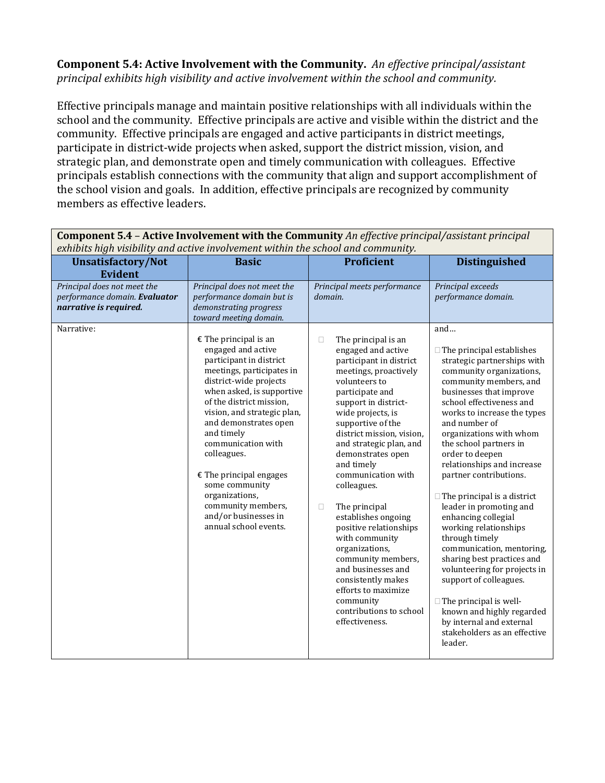**Component 5.4: Active Involvement with the Community.** *An effective principal/assistant principal exhibits high visibility and active involvement within the school and community.*

Effective principals manage and maintain positive relationships with all individuals within the school and the community. Effective principals are active and visible within the district and the community. Effective principals are engaged and active participants in district meetings, participate in district-wide projects when asked, support the district mission, vision, and strategic plan, and demonstrate open and timely communication with colleagues. Effective principals establish connections with the community that align and support accomplishment of the school vision and goals. In addition, effective principals are recognized by community members as effective leaders.

| exhibits high visibility and active involvement within the school and community.                                       |                                                                                                                                                                                                                                                                                                                                                                         |                                                                                                                                                                                                                                                                                                                                                                                                 |                                                                                                                                                                                                                                                                                                                                                                                                                                                                                                                           |
|------------------------------------------------------------------------------------------------------------------------|-------------------------------------------------------------------------------------------------------------------------------------------------------------------------------------------------------------------------------------------------------------------------------------------------------------------------------------------------------------------------|-------------------------------------------------------------------------------------------------------------------------------------------------------------------------------------------------------------------------------------------------------------------------------------------------------------------------------------------------------------------------------------------------|---------------------------------------------------------------------------------------------------------------------------------------------------------------------------------------------------------------------------------------------------------------------------------------------------------------------------------------------------------------------------------------------------------------------------------------------------------------------------------------------------------------------------|
| <b>Unsatisfactory/Not</b>                                                                                              | <b>Basic</b>                                                                                                                                                                                                                                                                                                                                                            | <b>Proficient</b>                                                                                                                                                                                                                                                                                                                                                                               | <b>Distinguished</b>                                                                                                                                                                                                                                                                                                                                                                                                                                                                                                      |
| <b>Evident</b><br>Principal does not meet the<br>performance domain. Evaluator<br>narrative is required.<br>Narrative: | Principal does not meet the<br>performance domain but is<br>demonstrating progress<br>toward meeting domain.<br>$\epsilon$ The principal is an<br>engaged and active<br>participant in district<br>meetings, participates in<br>district-wide projects<br>when asked, is supportive<br>of the district mission,<br>vision, and strategic plan,<br>and demonstrates open | Principal meets performance<br>domain.<br>$\Box$<br>The principal is an<br>engaged and active<br>participant in district<br>meetings, proactively<br>volunteers to<br>participate and<br>support in district-<br>wide projects, is<br>supportive of the                                                                                                                                         | Principal exceeds<br>performance domain.<br>and<br>$\Box$ The principal establishes<br>strategic partnerships with<br>community organizations,<br>community members, and<br>businesses that improve<br>school effectiveness and<br>works to increase the types<br>and number of                                                                                                                                                                                                                                           |
|                                                                                                                        | and timely<br>communication with<br>colleagues.<br>$E$ The principal engages<br>some community<br>organizations,<br>community members,<br>and/or businesses in<br>annual school events.                                                                                                                                                                                 | district mission, vision,<br>and strategic plan, and<br>demonstrates open<br>and timely<br>communication with<br>colleagues.<br>The principal<br>$\Box$<br>establishes ongoing<br>positive relationships<br>with community<br>organizations,<br>community members,<br>and businesses and<br>consistently makes<br>efforts to maximize<br>community<br>contributions to school<br>effectiveness. | organizations with whom<br>the school partners in<br>order to deepen<br>relationships and increase<br>partner contributions.<br>$\Box$ The principal is a district<br>leader in promoting and<br>enhancing collegial<br>working relationships<br>through timely<br>communication, mentoring,<br>sharing best practices and<br>volunteering for projects in<br>support of colleagues.<br>$\Box$ The principal is well-<br>known and highly regarded<br>by internal and external<br>stakeholders as an effective<br>leader. |

**Component 5.4** – **Active Involvement with the Community** *An effective principal/assistant principal*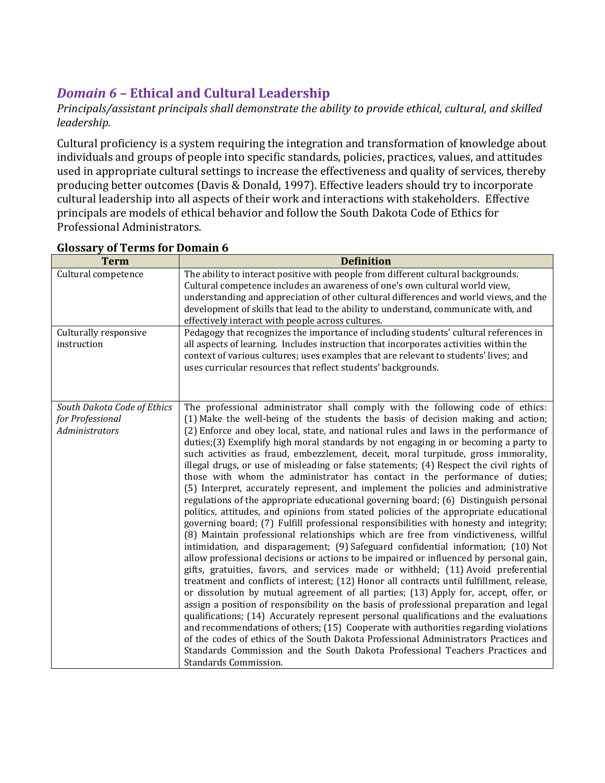# *Domain 6* **– Ethical and Cultural Leadership**

*Principals/assistant principals shall demonstrate the ability to provide ethical, cultural, and skilled leadership.* 

Cultural proficiency is a system requiring the integration and transformation of knowledge about individuals and groups of people into specific standards, policies, practices, values, and attitudes used in appropriate cultural settings to increase the effectiveness and quality of services, thereby producing better outcomes (Davis & Donald, 1997). Effective leaders should try to incorporate cultural leadership into all aspects of their work and interactions with stakeholders. Effective principals are models of ethical behavior and follow the South Dakota Code of Ethics for Professional Administrators.

| <b>Term</b>                                                       | <b>Definition</b>                                                                                                                                                                                                                                                                                                                                                                                                                                                                                                                                                                                                                                                                                                                                                                                                                                                                                                                                                                                                                                                                                                                                                                                                                                                                                                                                                                                                                                                                                                                                                                                                                                                                                                                                                                                                                                                                                                                                                                                                |
|-------------------------------------------------------------------|------------------------------------------------------------------------------------------------------------------------------------------------------------------------------------------------------------------------------------------------------------------------------------------------------------------------------------------------------------------------------------------------------------------------------------------------------------------------------------------------------------------------------------------------------------------------------------------------------------------------------------------------------------------------------------------------------------------------------------------------------------------------------------------------------------------------------------------------------------------------------------------------------------------------------------------------------------------------------------------------------------------------------------------------------------------------------------------------------------------------------------------------------------------------------------------------------------------------------------------------------------------------------------------------------------------------------------------------------------------------------------------------------------------------------------------------------------------------------------------------------------------------------------------------------------------------------------------------------------------------------------------------------------------------------------------------------------------------------------------------------------------------------------------------------------------------------------------------------------------------------------------------------------------------------------------------------------------------------------------------------------------|
| Cultural competence                                               | The ability to interact positive with people from different cultural backgrounds.<br>Cultural competence includes an awareness of one's own cultural world view,<br>understanding and appreciation of other cultural differences and world views, and the<br>development of skills that lead to the ability to understand, communicate with, and<br>effectively interact with people across cultures.                                                                                                                                                                                                                                                                                                                                                                                                                                                                                                                                                                                                                                                                                                                                                                                                                                                                                                                                                                                                                                                                                                                                                                                                                                                                                                                                                                                                                                                                                                                                                                                                            |
| Culturally responsive<br>instruction                              | Pedagogy that recognizes the importance of including students' cultural references in<br>all aspects of learning. Includes instruction that incorporates activities within the<br>context of various cultures; uses examples that are relevant to students' lives; and<br>uses curricular resources that reflect students' backgrounds.                                                                                                                                                                                                                                                                                                                                                                                                                                                                                                                                                                                                                                                                                                                                                                                                                                                                                                                                                                                                                                                                                                                                                                                                                                                                                                                                                                                                                                                                                                                                                                                                                                                                          |
| South Dakota Code of Ethics<br>for Professional<br>Administrators | The professional administrator shall comply with the following code of ethics:<br>(1) Make the well-being of the students the basis of decision making and action;<br>(2) Enforce and obey local, state, and national rules and laws in the performance of<br>duties; (3) Exemplify high moral standards by not engaging in or becoming a party to<br>such activities as fraud, embezzlement, deceit, moral turpitude, gross immorality,<br>illegal drugs, or use of misleading or false statements; (4) Respect the civil rights of<br>those with whom the administrator has contact in the performance of duties;<br>(5) Interpret, accurately represent, and implement the policies and administrative<br>regulations of the appropriate educational governing board; (6) Distinguish personal<br>politics, attitudes, and opinions from stated policies of the appropriate educational<br>governing board; (7) Fulfill professional responsibilities with honesty and integrity;<br>(8) Maintain professional relationships which are free from vindictiveness, willful<br>intimidation, and disparagement; (9) Safeguard confidential information; (10) Not<br>allow professional decisions or actions to be impaired or influenced by personal gain,<br>gifts, gratuities, favors, and services made or withheld; (11) Avoid preferential<br>treatment and conflicts of interest; (12) Honor all contracts until fulfillment, release,<br>or dissolution by mutual agreement of all parties; (13) Apply for, accept, offer, or<br>assign a position of responsibility on the basis of professional preparation and legal<br>qualifications; (14) Accurately represent personal qualifications and the evaluations<br>and recommendations of others; (15) Cooperate with authorities regarding violations<br>of the codes of ethics of the South Dakota Professional Administrators Practices and<br>Standards Commission and the South Dakota Professional Teachers Practices and<br>Standards Commission. |

#### **Glossary of Terms for Domain 6**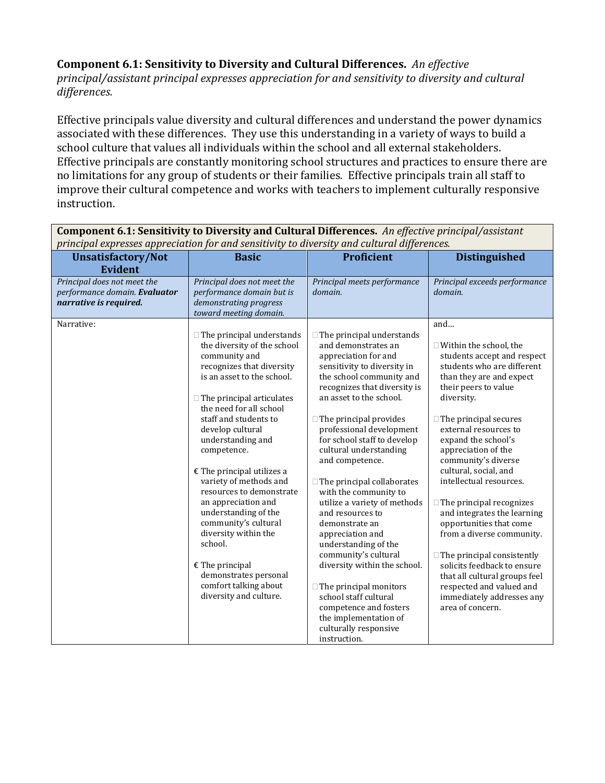#### **Component 6.1: Sensitivity to Diversity and Cultural Differences.** *An effective*

*principal/assistant principal expresses appreciation for and sensitivity to diversity and cultural differences.*

Effective principals value diversity and cultural differences and understand the power dynamics associated with these differences. They use this understanding in a variety of ways to build a school culture that values all individuals within the school and all external stakeholders. Effective principals are constantly monitoring school structures and practices to ensure there are no limitations for any group of students or their families. Effective principals train all staff to improve their cultural competence and works with teachers to implement culturally responsive instruction.

| principal expresses appreciation for and sensitivity to diversity and cultural differences. |                                                                                                                                                                                                                                                                                                                                                                                                                                                                                                                                                                                                     |                                                                                                                                                                                                                                                                                                                                                                                                                                                                                                                                                                                                                                                                                                                                              |                                                                                                                                                                                                                                                                                                                                                                                                                                                                                                                                                                                                                                                                   |
|---------------------------------------------------------------------------------------------|-----------------------------------------------------------------------------------------------------------------------------------------------------------------------------------------------------------------------------------------------------------------------------------------------------------------------------------------------------------------------------------------------------------------------------------------------------------------------------------------------------------------------------------------------------------------------------------------------------|----------------------------------------------------------------------------------------------------------------------------------------------------------------------------------------------------------------------------------------------------------------------------------------------------------------------------------------------------------------------------------------------------------------------------------------------------------------------------------------------------------------------------------------------------------------------------------------------------------------------------------------------------------------------------------------------------------------------------------------------|-------------------------------------------------------------------------------------------------------------------------------------------------------------------------------------------------------------------------------------------------------------------------------------------------------------------------------------------------------------------------------------------------------------------------------------------------------------------------------------------------------------------------------------------------------------------------------------------------------------------------------------------------------------------|
| <b>Unsatisfactory/Not</b><br><b>Evident</b>                                                 | <b>Basic</b>                                                                                                                                                                                                                                                                                                                                                                                                                                                                                                                                                                                        | Proficient                                                                                                                                                                                                                                                                                                                                                                                                                                                                                                                                                                                                                                                                                                                                   | <b>Distinguished</b>                                                                                                                                                                                                                                                                                                                                                                                                                                                                                                                                                                                                                                              |
| Principal does not meet the<br>performance domain. Evaluator<br>narrative is required.      | Principal does not meet the<br>performance domain but is<br>demonstrating progress<br>toward meeting domain.                                                                                                                                                                                                                                                                                                                                                                                                                                                                                        | Principal meets performance<br>domain.                                                                                                                                                                                                                                                                                                                                                                                                                                                                                                                                                                                                                                                                                                       | Principal exceeds performance<br>domain.                                                                                                                                                                                                                                                                                                                                                                                                                                                                                                                                                                                                                          |
| Narrative:                                                                                  | $\Box$ The principal understands<br>the diversity of the school<br>community and<br>recognizes that diversity<br>is an asset to the school.<br>$\Box$ The principal articulates<br>the need for all school<br>staff and students to<br>develop cultural<br>understanding and<br>competence.<br>$E$ The principal utilizes a<br>variety of methods and<br>resources to demonstrate<br>an appreciation and<br>understanding of the<br>community's cultural<br>diversity within the<br>school.<br>$\epsilon$ The principal<br>demonstrates personal<br>comfort talking about<br>diversity and culture. | $\Box$ The principal understands<br>and demonstrates an<br>appreciation for and<br>sensitivity to diversity in<br>the school community and<br>recognizes that diversity is<br>an asset to the school.<br>$\Box$ The principal provides<br>professional development<br>for school staff to develop<br>cultural understanding<br>and competence.<br>$\Box$ The principal collaborates<br>with the community to<br>utilize a variety of methods<br>and resources to<br>demonstrate an<br>appreciation and<br>understanding of the<br>community's cultural<br>diversity within the school.<br>$\Box$ The principal monitors<br>school staff cultural<br>competence and fosters<br>the implementation of<br>culturally responsive<br>instruction. | and<br>$\Box$ Within the school, the<br>students accept and respect<br>students who are different<br>than they are and expect<br>their peers to value<br>diversity.<br>$\Box$ The principal secures<br>external resources to<br>expand the school's<br>appreciation of the<br>community's diverse<br>cultural, social, and<br>intellectual resources.<br>$\Box$ The principal recognizes<br>and integrates the learning<br>opportunities that come<br>from a diverse community.<br>$\Box$ The principal consistently<br>solicits feedback to ensure<br>that all cultural groups feel<br>respected and valued and<br>immediately addresses any<br>area of concern. |

**Component 6.1: Sensitivity to Diversity and Cultural Differences.** *An effective principal/assistant*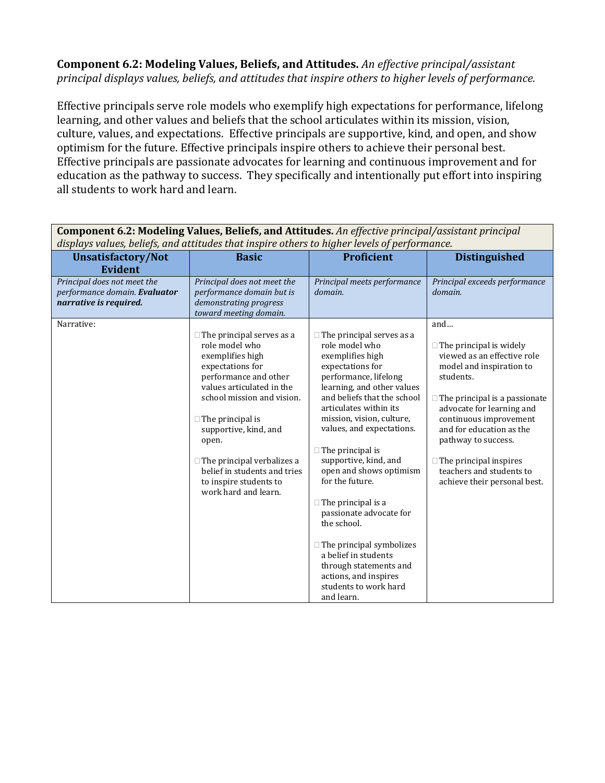#### **Component 6.2: Modeling Values, Beliefs, and Attitudes.** *An effective principal/assistant principal displays values, beliefs, and attitudes that inspire others to higher levels of performance.*

Effective principals serve role models who exemplify high expectations for performance, lifelong learning, and other values and beliefs that the school articulates within its mission, vision, culture, values, and expectations. Effective principals are supportive, kind, and open, and show optimism for the future. Effective principals inspire others to achieve their personal best. Effective principals are passionate advocates for learning and continuous improvement and for education as the pathway to success. They specifically and intentionally put effort into inspiring all students to work hard and learn.

| displays values, beliefs, and attitudes that inspire others to higher levels of performance. |                                                                                                                                                                                                                                                                                                                                                                    |                                                                                                                                                                                                                                                                                                                                                                                                                                                                                                                                                                                                    |                                                                                                                                                                                                                                                                                                                                                              |  |
|----------------------------------------------------------------------------------------------|--------------------------------------------------------------------------------------------------------------------------------------------------------------------------------------------------------------------------------------------------------------------------------------------------------------------------------------------------------------------|----------------------------------------------------------------------------------------------------------------------------------------------------------------------------------------------------------------------------------------------------------------------------------------------------------------------------------------------------------------------------------------------------------------------------------------------------------------------------------------------------------------------------------------------------------------------------------------------------|--------------------------------------------------------------------------------------------------------------------------------------------------------------------------------------------------------------------------------------------------------------------------------------------------------------------------------------------------------------|--|
| <b>Unsatisfactory/Not</b><br><b>Evident</b>                                                  | <b>Basic</b>                                                                                                                                                                                                                                                                                                                                                       | <b>Proficient</b>                                                                                                                                                                                                                                                                                                                                                                                                                                                                                                                                                                                  | <b>Distinguished</b>                                                                                                                                                                                                                                                                                                                                         |  |
| Principal does not meet the<br>performance domain. Evaluator<br>narrative is required.       | Principal does not meet the<br>performance domain but is<br>demonstrating progress<br>toward meeting domain.                                                                                                                                                                                                                                                       | Principal meets performance<br>domain.                                                                                                                                                                                                                                                                                                                                                                                                                                                                                                                                                             | Principal exceeds performance<br>domain.                                                                                                                                                                                                                                                                                                                     |  |
| Narrative:                                                                                   | $\Box$ The principal serves as a<br>role model who<br>exemplifies high<br>expectations for<br>performance and other<br>values articulated in the<br>school mission and vision.<br>$\Box$ The principal is<br>supportive, kind, and<br>open.<br>$\Box$ The principal verbalizes a<br>belief in students and tries<br>to inspire students to<br>work hard and learn. | $\Box$ The principal serves as a<br>role model who<br>exemplifies high<br>expectations for<br>performance, lifelong<br>learning, and other values<br>and beliefs that the school<br>articulates within its<br>mission, vision, culture,<br>values, and expectations.<br>$\Box$ The principal is<br>supportive, kind, and<br>open and shows optimism<br>for the future.<br>$\Box$ The principal is a<br>passionate advocate for<br>the school.<br>$\Box$ The principal symbolizes<br>a belief in students<br>through statements and<br>actions, and inspires<br>students to work hard<br>and learn. | and<br>$\Box$ The principal is widely<br>viewed as an effective role<br>model and inspiration to<br>students.<br>$\Box$ The principal is a passionate<br>advocate for learning and<br>continuous improvement<br>and for education as the<br>pathway to success.<br>$\Box$ The principal inspires<br>teachers and students to<br>achieve their personal best. |  |

**Component 6.2: Modeling Values, Beliefs, and Attitudes.** *An effective principal/assistant principal*